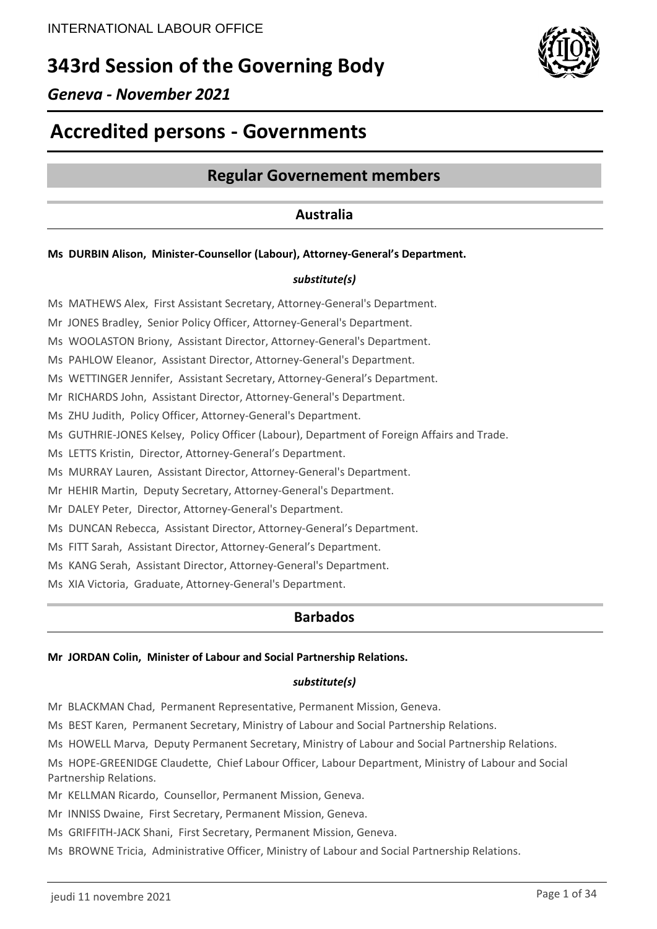# **343rd Session of the Governing Body**



# **Accredited persons - Governments**

# **Regular Governement members**

# **Australia**

### **Ms DURBIN Alison, Minister-Counsellor (Labour), Attorney-General's Department.**

### *substitute(s)*

Ms MATHEWS Alex, First Assistant Secretary, Attorney-General's Department.

Mr JONES Bradley, Senior Policy Officer, Attorney-General's Department.

Ms WOOLASTON Briony, Assistant Director, Attorney-General's Department.

Ms PAHLOW Eleanor, Assistant Director, Attorney-General's Department.

Ms WETTINGER Jennifer, Assistant Secretary, Attorney-General's Department.

Mr RICHARDS John, Assistant Director, Attorney-General's Department.

Ms ZHU Judith, Policy Officer, Attorney-General's Department.

Ms GUTHRIE-JONES Kelsey, Policy Officer (Labour), Department of Foreign Affairs and Trade.

Ms LETTS Kristin, Director, Attorney-General's Department.

Ms MURRAY Lauren, Assistant Director, Attorney-General's Department.

Mr HEHIR Martin, Deputy Secretary, Attorney-General's Department.

Mr DALEY Peter, Director, Attorney-General's Department.

Ms DUNCAN Rebecca, Assistant Director, Attorney-General's Department.

Ms FITT Sarah, Assistant Director, Attorney-General's Department.

Ms KANG Serah, Assistant Director, Attorney-General's Department.

Ms XIA Victoria, Graduate, Attorney-General's Department.

### **Barbados**

#### **Mr JORDAN Colin, Minister of Labour and Social Partnership Relations.**

#### *substitute(s)*

Mr BLACKMAN Chad, Permanent Representative, Permanent Mission, Geneva.

Ms BEST Karen, Permanent Secretary, Ministry of Labour and Social Partnership Relations.

Ms HOWELL Marva, Deputy Permanent Secretary, Ministry of Labour and Social Partnership Relations.

Ms HOPE-GREENIDGE Claudette, Chief Labour Officer, Labour Department, Ministry of Labour and Social Partnership Relations.

Mr KELLMAN Ricardo, Counsellor, Permanent Mission, Geneva.

Mr INNISS Dwaine, First Secretary, Permanent Mission, Geneva.

Ms GRIFFITH-JACK Shani, First Secretary, Permanent Mission, Geneva.

Ms BROWNE Tricia, Administrative Officer, Ministry of Labour and Social Partnership Relations.

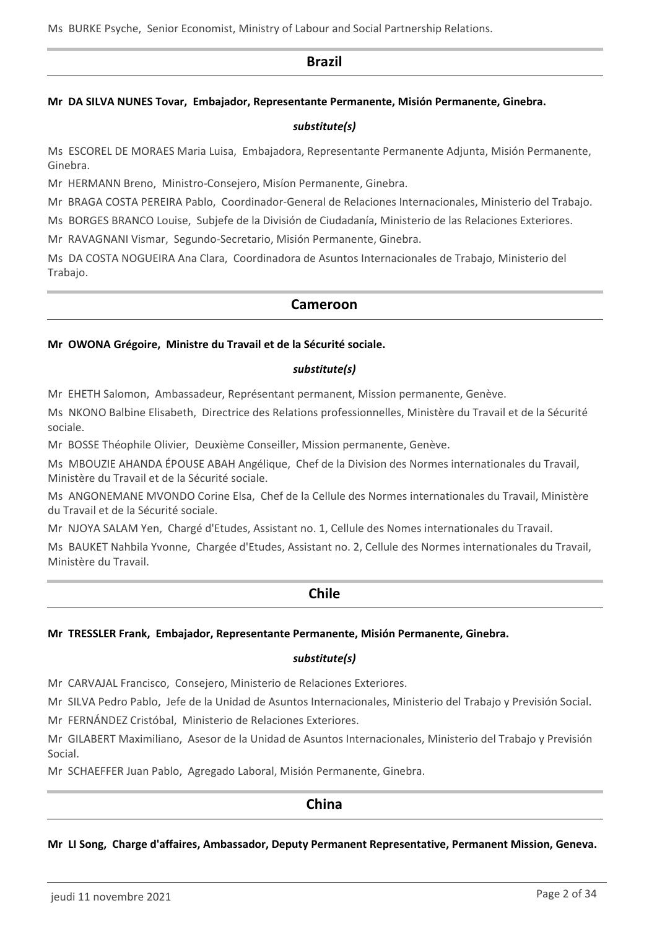Ms BURKE Psyche, Senior Economist, Ministry of Labour and Social Partnership Relations.

### **Brazil**

#### **Mr DA SILVA NUNES Tovar, Embajador, Representante Permanente, Misión Permanente, Ginebra.**

#### *substitute(s)*

Ms ESCOREL DE MORAES Maria Luisa, Embajadora, Representante Permanente Adjunta, Misión Permanente, Ginebra.

Mr HERMANN Breno, Ministro-Consejero, Misíon Permanente, Ginebra.

Mr BRAGA COSTA PEREIRA Pablo, Coordinador-General de Relaciones Internacionales, Ministerio del Trabajo.

Ms BORGES BRANCO Louise, Subjefe de la División de Ciudadanía, Ministerio de las Relaciones Exteriores.

Mr RAVAGNANI Vismar, Segundo-Secretario, Misión Permanente, Ginebra.

Ms DA COSTA NOGUEIRA Ana Clara, Coordinadora de Asuntos Internacionales de Trabajo, Ministerio del Trabajo.

### **Cameroon**

#### **Mr OWONA Grégoire, Ministre du Travail et de la Sécurité sociale.**

#### *substitute(s)*

Mr EHETH Salomon, Ambassadeur, Représentant permanent, Mission permanente, Genève.

Ms NKONO Balbine Elisabeth, Directrice des Relations professionnelles, Ministère du Travail et de la Sécurité sociale.

Mr BOSSE Théophile Olivier, Deuxième Conseiller, Mission permanente, Genève.

Ms MBOUZIE AHANDA ÉPOUSE ABAH Angélique, Chef de la Division des Normes internationales du Travail, Ministère du Travail et de la Sécurité sociale.

Ms ANGONEMANE MVONDO Corine Elsa, Chef de la Cellule des Normes internationales du Travail, Ministère du Travail et de la Sécurité sociale.

Mr NJOYA SALAM Yen, Chargé d'Etudes, Assistant no. 1, Cellule des Nomes internationales du Travail.

Ms BAUKET Nahbila Yvonne, Chargée d'Etudes, Assistant no. 2, Cellule des Normes internationales du Travail, Ministère du Travail.

### **Chile**

#### **Mr TRESSLER Frank, Embajador, Representante Permanente, Misión Permanente, Ginebra.**

#### *substitute(s)*

Mr CARVAJAL Francisco, Consejero, Ministerio de Relaciones Exteriores.

Mr SILVA Pedro Pablo, Jefe de la Unidad de Asuntos Internacionales, Ministerio del Trabajo y Previsión Social.

Mr FERNÁNDEZ Cristóbal, Ministerio de Relaciones Exteriores.

Mr GILABERT Maximiliano, Asesor de la Unidad de Asuntos Internacionales, Ministerio del Trabajo y Previsión Social.

Mr SCHAEFFER Juan Pablo, Agregado Laboral, Misión Permanente, Ginebra.

### **China**

#### **Mr LI Song, Charge d'affaires, Ambassador, Deputy Permanent Representative, Permanent Mission, Geneva.**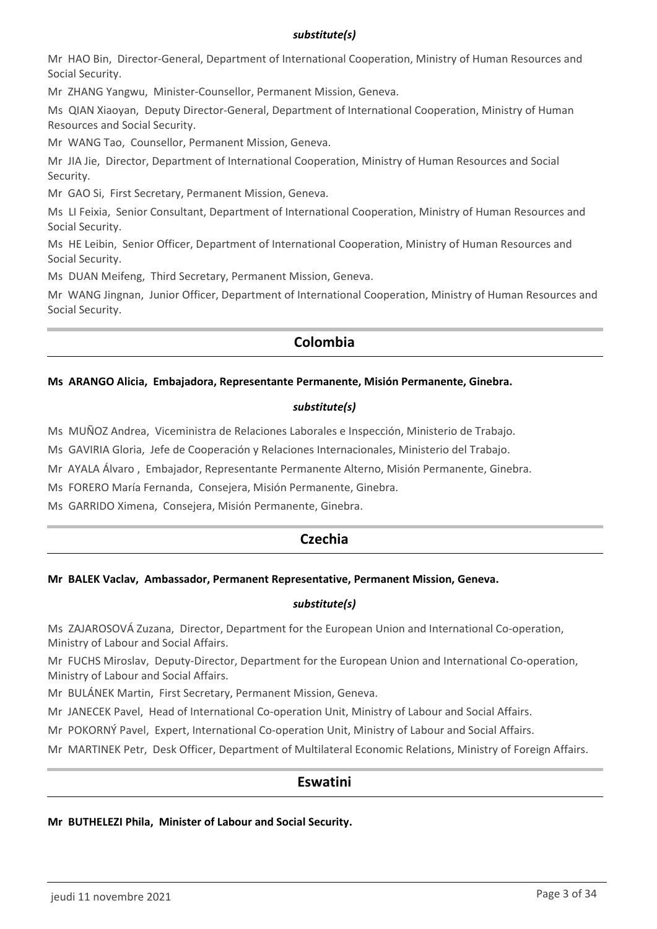### *substitute(s)*

Mr HAO Bin, Director-General, Department of International Cooperation, Ministry of Human Resources and Social Security.

Mr ZHANG Yangwu, Minister-Counsellor, Permanent Mission, Geneva.

Ms QIAN Xiaoyan, Deputy Director-General, Department of International Cooperation, Ministry of Human Resources and Social Security.

Mr WANG Tao, Counsellor, Permanent Mission, Geneva.

Mr JIA Jie, Director, Department of International Cooperation, Ministry of Human Resources and Social Security.

Mr GAO Si, First Secretary, Permanent Mission, Geneva.

Ms LI Feixia, Senior Consultant, Department of International Cooperation, Ministry of Human Resources and Social Security.

Ms HE Leibin, Senior Officer, Department of International Cooperation, Ministry of Human Resources and Social Security.

Ms DUAN Meifeng, Third Secretary, Permanent Mission, Geneva.

Mr WANG Jingnan, Junior Officer, Department of International Cooperation, Ministry of Human Resources and Social Security.

### **Colombia**

### **Ms ARANGO Alicia, Embajadora, Representante Permanente, Misión Permanente, Ginebra.**

#### *substitute(s)*

Ms MUÑOZ Andrea, Viceministra de Relaciones Laborales e Inspección, Ministerio de Trabajo.

Ms GAVIRIA Gloria, Jefe de Cooperación y Relaciones Internacionales, Ministerio del Trabajo.

Mr AYALA Álvaro , Embajador, Representante Permanente Alterno, Misión Permanente, Ginebra.

Ms FORERO María Fernanda, Consejera, Misión Permanente, Ginebra.

Ms GARRIDO Ximena, Consejera, Misión Permanente, Ginebra.

# **Czechia**

### **Mr BALEK Vaclav, Ambassador, Permanent Representative, Permanent Mission, Geneva.**

### *substitute(s)*

Ms ZAJAROSOVÁ Zuzana, Director, Department for the European Union and International Co-operation, Ministry of Labour and Social Affairs.

Mr FUCHS Miroslav, Deputy-Director, Department for the European Union and International Co-operation, Ministry of Labour and Social Affairs.

Mr BULÁNEK Martin, First Secretary, Permanent Mission, Geneva.

Mr JANECEK Pavel, Head of International Co-operation Unit, Ministry of Labour and Social Affairs.

Mr POKORNÝ Pavel, Expert, International Co-operation Unit, Ministry of Labour and Social Affairs.

Mr MARTINEK Petr, Desk Officer, Department of Multilateral Economic Relations, Ministry of Foreign Affairs.

### **Eswatini**

#### **Mr BUTHELEZI Phila, Minister of Labour and Social Security.**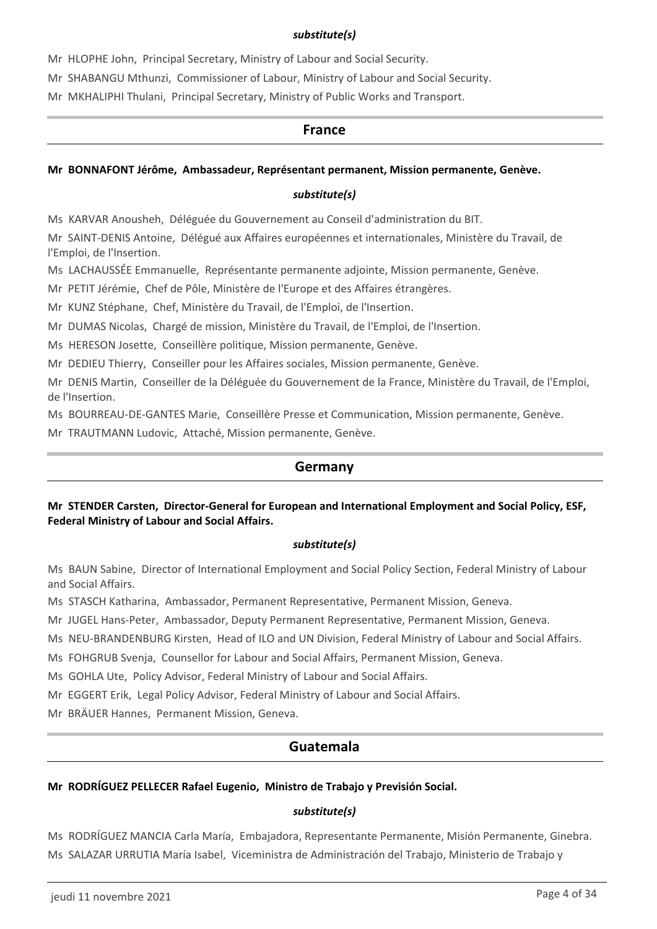### *substitute(s)*

Mr HLOPHE John, Principal Secretary, Ministry of Labour and Social Security.

Mr SHABANGU Mthunzi, Commissioner of Labour, Ministry of Labour and Social Security.

Mr MKHALIPHI Thulani, Principal Secretary, Ministry of Public Works and Transport.

### **France**

### **Mr BONNAFONT Jérôme, Ambassadeur, Représentant permanent, Mission permanente, Genève.**

### *substitute(s)*

Ms KARVAR Anousheh, Déléguée du Gouvernement au Conseil d'administration du BIT.

Mr SAINT-DENIS Antoine, Délégué aux Affaires européennes et internationales, Ministère du Travail, de l'Emploi, de l'Insertion.

Ms LACHAUSSÉE Emmanuelle, Représentante permanente adjointe, Mission permanente, Genève.

Mr PETIT Jérémie, Chef de Pôle, Ministère de l'Europe et des Affaires étrangères.

Mr KUNZ Stéphane, Chef, Ministère du Travail, de l'Emploi, de l'Insertion.

Mr DUMAS Nicolas, Chargé de mission, Ministère du Travail, de l'Emploi, de l'Insertion.

Ms HERESON Josette, Conseillère politique, Mission permanente, Genève.

Mr DEDIEU Thierry, Conseiller pour les Affaires sociales, Mission permanente, Genève.

Mr DENIS Martin, Conseiller de la Déléguée du Gouvernement de la France, Ministère du Travail, de l'Emploi, de l'Insertion.

Ms BOURREAU-DE-GANTES Marie, Conseillère Presse et Communication, Mission permanente, Genève.

Mr TRAUTMANN Ludovic, Attaché, Mission permanente, Genève.

### **Germany**

### **Mr STENDER Carsten, Director-General for European and International Employment and Social Policy, ESF, Federal Ministry of Labour and Social Affairs.**

#### *substitute(s)*

Ms BAUN Sabine, Director of International Employment and Social Policy Section, Federal Ministry of Labour and Social Affairs.

Ms STASCH Katharina, Ambassador, Permanent Representative, Permanent Mission, Geneva.

Mr JUGEL Hans-Peter, Ambassador, Deputy Permanent Representative, Permanent Mission, Geneva.

Ms NEU-BRANDENBURG Kirsten, Head of ILO and UN Division, Federal Ministry of Labour and Social Affairs.

Ms FOHGRUB Svenja, Counsellor for Labour and Social Affairs, Permanent Mission, Geneva.

Ms GOHLA Ute, Policy Advisor, Federal Ministry of Labour and Social Affairs.

Mr EGGERT Erik, Legal Policy Advisor, Federal Ministry of Labour and Social Affairs.

Mr BRÄUER Hannes, Permanent Mission, Geneva.

# **Guatemala**

### **Mr RODRÍGUEZ PELLECER Rafael Eugenio, Ministro de Trabajo y Previsión Social.**

### *substitute(s)*

Ms RODRÍGUEZ MANCIA Carla María, Embajadora, Representante Permanente, Misión Permanente, Ginebra. Ms SALAZAR URRUTIA María Isabel, Viceministra de Administración del Trabajo, Ministerio de Trabajo y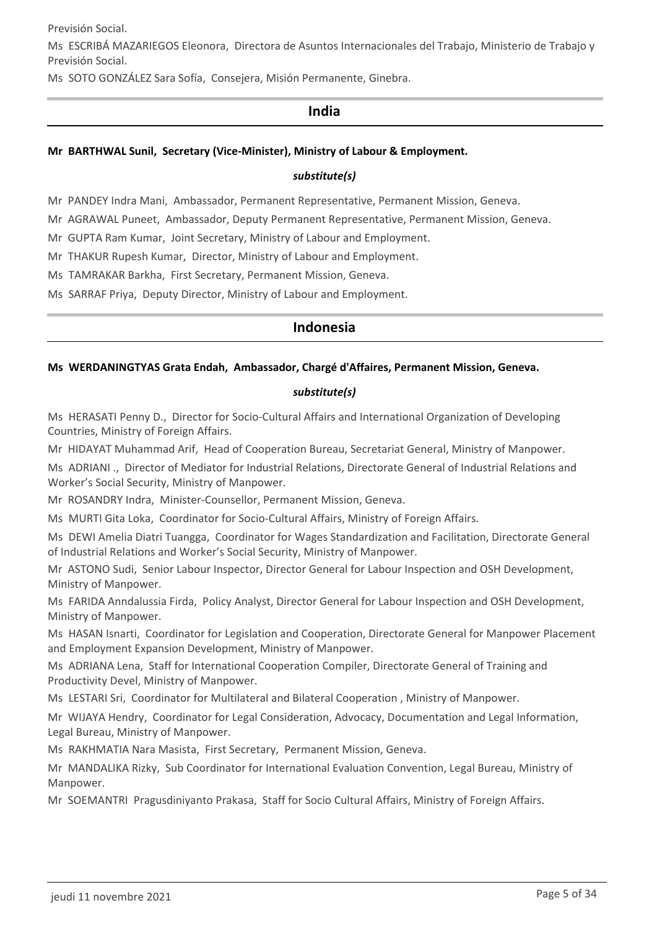Previsión Social.

Ms ESCRIBÁ MAZARIEGOS Eleonora, Directora de Asuntos Internacionales del Trabajo, Ministerio de Trabajo y Previsión Social.

Ms SOTO GONZÁLEZ Sara Sofía, Consejera, Misión Permanente, Ginebra.

### **India**

### **Mr BARTHWAL Sunil, Secretary (Vice-Minister), Ministry of Labour & Employment.**

#### *substitute(s)*

Mr PANDEY Indra Mani, Ambassador, Permanent Representative, Permanent Mission, Geneva.

Mr AGRAWAL Puneet, Ambassador, Deputy Permanent Representative, Permanent Mission, Geneva.

Mr GUPTA Ram Kumar, Joint Secretary, Ministry of Labour and Employment.

Mr THAKUR Rupesh Kumar, Director, Ministry of Labour and Employment.

Ms TAMRAKAR Barkha, First Secretary, Permanent Mission, Geneva.

Ms SARRAF Priya, Deputy Director, Ministry of Labour and Employment.

### **Indonesia**

#### **Ms WERDANINGTYAS Grata Endah, Ambassador, Chargé d'Affaires, Permanent Mission, Geneva.**

### *substitute(s)*

Ms HERASATI Penny D., Director for Socio-Cultural Affairs and International Organization of Developing Countries, Ministry of Foreign Affairs.

Mr HIDAYAT Muhammad Arif, Head of Cooperation Bureau, Secretariat General, Ministry of Manpower.

Ms ADRIANI ., Director of Mediator for Industrial Relations, Directorate General of Industrial Relations and Worker's Social Security, Ministry of Manpower.

Mr ROSANDRY Indra, Minister-Counsellor, Permanent Mission, Geneva.

Ms MURTI Gita Loka, Coordinator for Socio-Cultural Affairs, Ministry of Foreign Affairs.

Ms DEWI Amelia Diatri Tuangga, Coordinator for Wages Standardization and Facilitation, Directorate General of Industrial Relations and Worker's Social Security, Ministry of Manpower.

Mr ASTONO Sudi, Senior Labour Inspector, Director General for Labour Inspection and OSH Development, Ministry of Manpower.

Ms FARIDA Anndalussia Firda, Policy Analyst, Director General for Labour Inspection and OSH Development, Ministry of Manpower.

Ms HASAN Isnarti, Coordinator for Legislation and Cooperation, Directorate General for Manpower Placement and Employment Expansion Development, Ministry of Manpower.

Ms ADRIANA Lena, Staff for International Cooperation Compiler, Directorate General of Training and Productivity Devel, Ministry of Manpower.

Ms LESTARI Sri, Coordinator for Multilateral and Bilateral Cooperation , Ministry of Manpower.

Mr WIJAYA Hendry, Coordinator for Legal Consideration, Advocacy, Documentation and Legal Information, Legal Bureau, Ministry of Manpower.

Ms RAKHMATIA Nara Masista, First Secretary, Permanent Mission, Geneva.

Mr MANDALIKA Rizky, Sub Coordinator for International Evaluation Convention, Legal Bureau, Ministry of Manpower.

Mr SOEMANTRI Pragusdiniyanto Prakasa, Staff for Socio Cultural Affairs, Ministry of Foreign Affairs.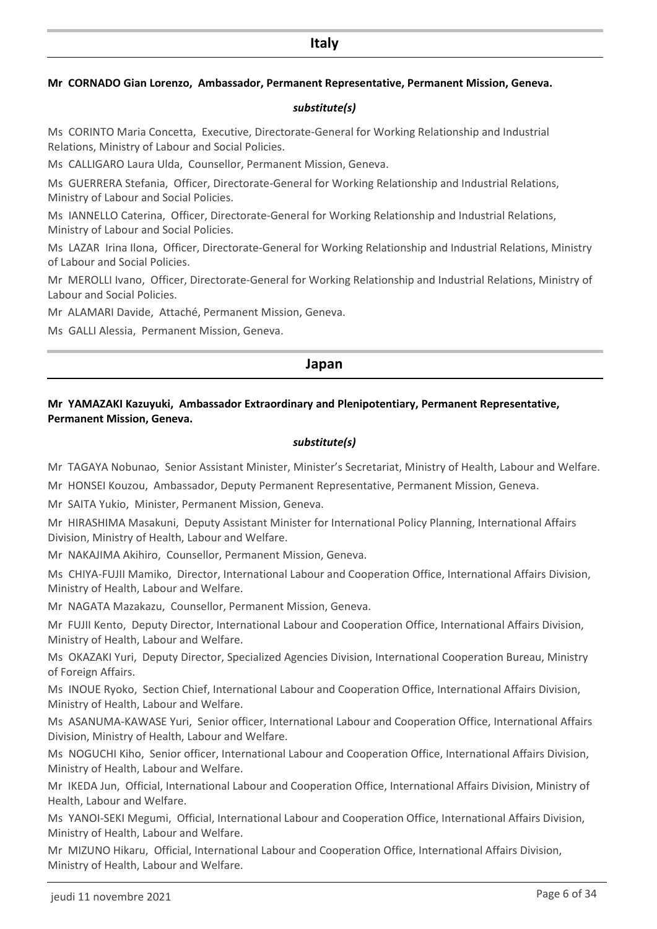### **Italy**

#### **Mr CORNADO Gian Lorenzo, Ambassador, Permanent Representative, Permanent Mission, Geneva.**

#### *substitute(s)*

Ms CORINTO Maria Concetta, Executive, Directorate-General for Working Relationship and Industrial Relations, Ministry of Labour and Social Policies.

Ms CALLIGARO Laura Ulda, Counsellor, Permanent Mission, Geneva.

Ms GUERRERA Stefania, Officer, Directorate-General for Working Relationship and Industrial Relations, Ministry of Labour and Social Policies.

Ms IANNELLO Caterina, Officer, Directorate-General for Working Relationship and Industrial Relations, Ministry of Labour and Social Policies.

Ms LAZAR Irina Ilona, Officer, Directorate-General for Working Relationship and Industrial Relations, Ministry of Labour and Social Policies.

Mr MEROLLI Ivano, Officer, Directorate-General for Working Relationship and Industrial Relations, Ministry of Labour and Social Policies.

Mr ALAMARI Davide, Attaché, Permanent Mission, Geneva.

Ms GALLI Alessia, Permanent Mission, Geneva.

#### **Japan**

#### **Mr YAMAZAKI Kazuyuki, Ambassador Extraordinary and Plenipotentiary, Permanent Representative, Permanent Mission, Geneva.**

#### *substitute(s)*

Mr TAGAYA Nobunao, Senior Assistant Minister, Minister's Secretariat, Ministry of Health, Labour and Welfare.

Mr HONSEI Kouzou, Ambassador, Deputy Permanent Representative, Permanent Mission, Geneva.

Mr SAITA Yukio, Minister, Permanent Mission, Geneva.

Mr HIRASHIMA Masakuni, Deputy Assistant Minister for International Policy Planning, International Affairs Division, Ministry of Health, Labour and Welfare.

Mr NAKAJIMA Akihiro, Counsellor, Permanent Mission, Geneva.

Ms CHIYA-FUJII Mamiko, Director, International Labour and Cooperation Office, International Affairs Division, Ministry of Health, Labour and Welfare.

Mr NAGATA Mazakazu, Counsellor, Permanent Mission, Geneva.

Mr FUJII Kento, Deputy Director, International Labour and Cooperation Office, International Affairs Division, Ministry of Health, Labour and Welfare.

Ms OKAZAKI Yuri, Deputy Director, Specialized Agencies Division, International Cooperation Bureau, Ministry of Foreign Affairs.

Ms INOUE Ryoko, Section Chief, International Labour and Cooperation Office, International Affairs Division, Ministry of Health, Labour and Welfare.

Ms ASANUMA-KAWASE Yuri, Senior officer, International Labour and Cooperation Office, International Affairs Division, Ministry of Health, Labour and Welfare.

Ms NOGUCHI Kiho, Senior officer, International Labour and Cooperation Office, International Affairs Division, Ministry of Health, Labour and Welfare.

Mr IKEDA Jun, Official, International Labour and Cooperation Office, International Affairs Division, Ministry of Health, Labour and Welfare.

Ms YANOI-SEKI Megumi, Official, International Labour and Cooperation Office, International Affairs Division, Ministry of Health, Labour and Welfare.

Mr MIZUNO Hikaru, Official, International Labour and Cooperation Office, International Affairs Division, Ministry of Health, Labour and Welfare.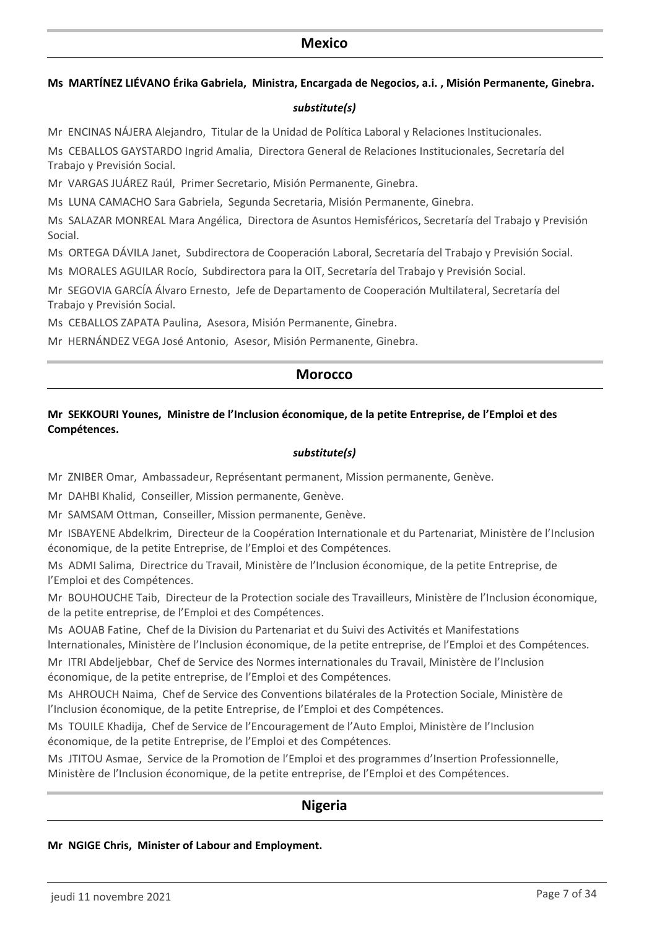### **Mexico**

#### **Ms MARTÍNEZ LIÉVANO Érika Gabriela, Ministra, Encargada de Negocios, a.i. , Misión Permanente, Ginebra.**

### *substitute(s)*

Mr ENCINAS NÁJERA Alejandro, Titular de la Unidad de Política Laboral y Relaciones Institucionales.

Ms CEBALLOS GAYSTARDO Ingrid Amalia, Directora General de Relaciones Institucionales, Secretaría del Trabajo y Previsión Social.

Mr VARGAS JUÁREZ Raúl, Primer Secretario, Misión Permanente, Ginebra.

Ms LUNA CAMACHO Sara Gabriela, Segunda Secretaria, Misión Permanente, Ginebra.

Ms SALAZAR MONREAL Mara Angélica, Directora de Asuntos Hemisféricos, Secretaría del Trabajo y Previsión Social.

Ms ORTEGA DÁVILA Janet, Subdirectora de Cooperación Laboral, Secretaría del Trabajo y Previsión Social.

Ms MORALES AGUILAR Rocío, Subdirectora para la OIT, Secretaría del Trabajo y Previsión Social.

Mr SEGOVIA GARCÍA Álvaro Ernesto, Jefe de Departamento de Cooperación Multilateral, Secretaría del Trabajo y Previsión Social.

Ms CEBALLOS ZAPATA Paulina, Asesora, Misión Permanente, Ginebra.

Mr HERNÁNDEZ VEGA José Antonio, Asesor, Misión Permanente, Ginebra.

### **Morocco**

### **Mr SEKKOURI Younes, Ministre de l'Inclusion économique, de la petite Entreprise, de l'Emploi et des Compétences.**

### *substitute(s)*

Mr ZNIBER Omar, Ambassadeur, Représentant permanent, Mission permanente, Genève.

Mr DAHBI Khalid, Conseiller, Mission permanente, Genève.

Mr SAMSAM Ottman, Conseiller, Mission permanente, Genève.

Mr ISBAYENE Abdelkrim, Directeur de la Coopération Internationale et du Partenariat, Ministère de l'Inclusion économique, de la petite Entreprise, de l'Emploi et des Compétences.

Ms ADMI Salima, Directrice du Travail, Ministère de l'Inclusion économique, de la petite Entreprise, de l'Emploi et des Compétences.

Mr BOUHOUCHE Taib, Directeur de la Protection sociale des Travailleurs, Ministère de l'Inclusion économique, de la petite entreprise, de l'Emploi et des Compétences.

Ms AOUAB Fatine, Chef de la Division du Partenariat et du Suivi des Activités et Manifestations lnternationales, Ministère de l'Inclusion économique, de la petite entreprise, de l'Emploi et des Compétences.

Mr ITRI Abdeljebbar, Chef de Service des Normes internationales du Travail, Ministère de l'Inclusion économique, de la petite entreprise, de l'Emploi et des Compétences.

Ms AHROUCH Naima, Chef de Service des Conventions bilatérales de la Protection Sociale, Ministère de l'Inclusion économique, de la petite Entreprise, de l'Emploi et des Compétences.

Ms TOUILE Khadija, Chef de Service de l'Encouragement de l'Auto Emploi, Ministère de l'Inclusion économique, de la petite Entreprise, de l'Emploi et des Compétences.

Ms JTITOU Asmae, Service de la Promotion de l'Emploi et des programmes d'Insertion Professionnelle, Ministère de l'Inclusion économique, de la petite entreprise, de l'Emploi et des Compétences.

# **Nigeria**

### **Mr NGIGE Chris, Minister of Labour and Employment.**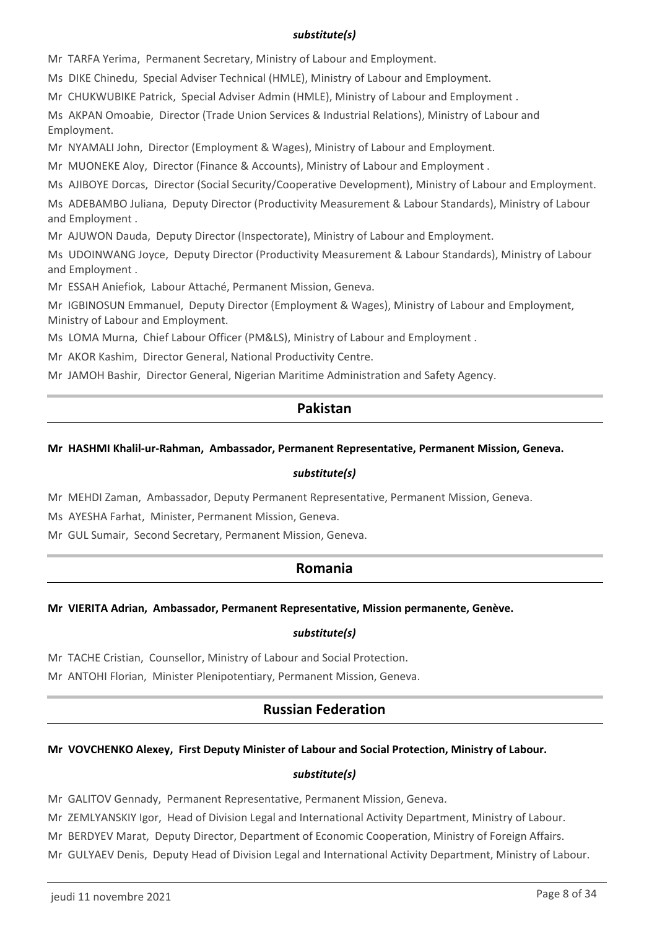### *substitute(s)*

Mr TARFA Yerima, Permanent Secretary, Ministry of Labour and Employment.

Ms DIKE Chinedu, Special Adviser Technical (HMLE), Ministry of Labour and Employment.

Mr CHUKWUBIKE Patrick, Special Adviser Admin (HMLE), Ministry of Labour and Employment .

Ms AKPAN Omoabie, Director (Trade Union Services & Industrial Relations), Ministry of Labour and Employment.

Mr NYAMALI John, Director (Employment & Wages), Ministry of Labour and Employment.

Mr MUONEKE Aloy, Director (Finance & Accounts), Ministry of Labour and Employment .

Ms AJIBOYE Dorcas, Director (Social Security/Cooperative Development), Ministry of Labour and Employment.

Ms ADEBAMBO Juliana, Deputy Director (Productivity Measurement & Labour Standards), Ministry of Labour and Employment .

Mr AJUWON Dauda, Deputy Director (Inspectorate), Ministry of Labour and Employment.

Ms UDOINWANG Joyce, Deputy Director (Productivity Measurement & Labour Standards), Ministry of Labour and Employment .

Mr ESSAH Aniefiok, Labour Attaché, Permanent Mission, Geneva.

Mr IGBINOSUN Emmanuel, Deputy Director (Employment & Wages), Ministry of Labour and Employment, Ministry of Labour and Employment.

Ms LOMA Murna, Chief Labour Officer (PM&LS), Ministry of Labour and Employment .

Mr AKOR Kashim, Director General, National Productivity Centre.

Mr JAMOH Bashir, Director General, Nigerian Maritime Administration and Safety Agency.

# **Pakistan**

### **Mr HASHMI Khalil-ur-Rahman, Ambassador, Permanent Representative, Permanent Mission, Geneva.**

#### *substitute(s)*

Mr MEHDI Zaman, Ambassador, Deputy Permanent Representative, Permanent Mission, Geneva.

Ms AYESHA Farhat, Minister, Permanent Mission, Geneva.

Mr GUL Sumair, Second Secretary, Permanent Mission, Geneva.

# **Romania**

### **Mr VIERITA Adrian, Ambassador, Permanent Representative, Mission permanente, Genève.**

#### *substitute(s)*

Mr TACHE Cristian, Counsellor, Ministry of Labour and Social Protection.

Mr ANTOHI Florian, Minister Plenipotentiary, Permanent Mission, Geneva.

# **Russian Federation**

### **Mr VOVCHENKO Alexey, First Deputy Minister of Labour and Social Protection, Ministry of Labour.**

#### *substitute(s)*

Mr GALITOV Gennady, Permanent Representative, Permanent Mission, Geneva.

Mr ZEMLYANSKIY Igor, Head of Division Legal and International Activity Department, Ministry of Labour.

Mr BERDYEV Marat, Deputy Director, Department of Economic Cooperation, Ministry of Foreign Affairs.

Mr GULYAEV Denis, Deputy Head of Division Legal and International Activity Department, Ministry of Labour.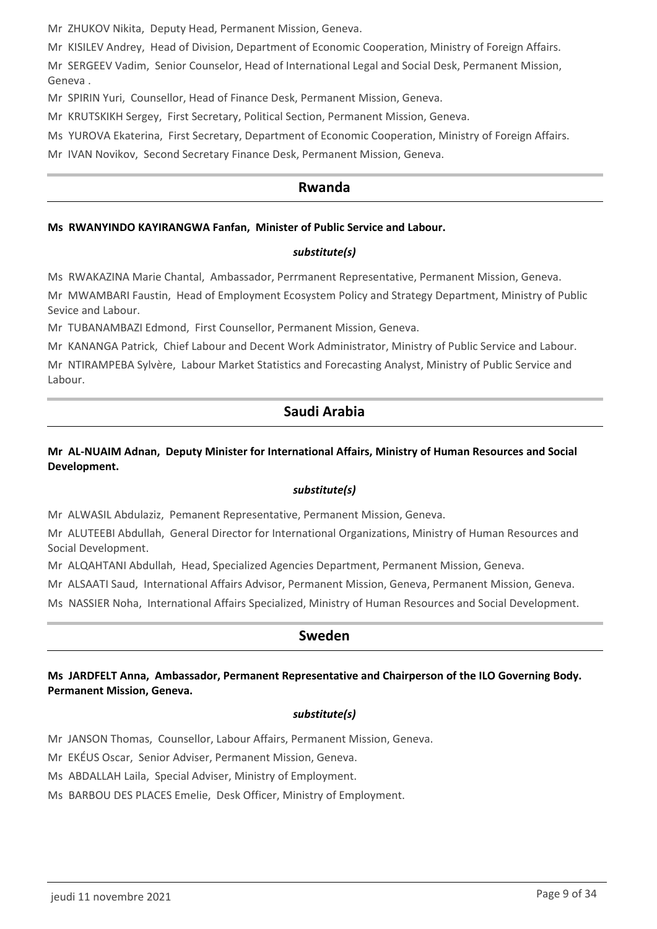Mr ZHUKOV Nikita, Deputy Head, Permanent Mission, Geneva.

Mr KISILEV Andrey, Head of Division, Department of Economic Cooperation, Ministry of Foreign Affairs.

Mr SERGEEV Vadim, Senior Counselor, Head of International Legal and Social Desk, Permanent Mission, Geneva .

Mr SPIRIN Yuri, Counsellor, Head of Finance Desk, Permanent Mission, Geneva.

Mr KRUTSKIKH Sergey, First Secretary, Political Section, Permanent Mission, Geneva.

Ms YUROVA Ekaterina, First Secretary, Department of Economic Cooperation, Ministry of Foreign Affairs.

Mr IVAN Novikov, Second Secretary Finance Desk, Permanent Mission, Geneva.

# **Rwanda**

#### **Ms RWANYINDO KAYIRANGWA Fanfan, Minister of Public Service and Labour.**

#### *substitute(s)*

Ms RWAKAZINA Marie Chantal, Ambassador, Perrmanent Representative, Permanent Mission, Geneva.

Mr MWAMBARI Faustin, Head of Employment Ecosystem Policy and Strategy Department, Ministry of Public Sevice and Labour.

Mr TUBANAMBAZI Edmond, First Counsellor, Permanent Mission, Geneva.

Mr KANANGA Patrick, Chief Labour and Decent Work Administrator, Ministry of Public Service and Labour.

Mr NTIRAMPEBA Sylvère, Labour Market Statistics and Forecasting Analyst, Ministry of Public Service and Labour.

# **Saudi Arabia**

### **Mr AL-NUAIM Adnan, Deputy Minister for International Affairs, Ministry of Human Resources and Social Development.**

#### *substitute(s)*

Mr ALWASIL Abdulaziz, Pemanent Representative, Permanent Mission, Geneva.

Mr ALUTEEBI Abdullah, General Director for International Organizations, Ministry of Human Resources and Social Development.

Mr ALQAHTANI Abdullah, Head, Specialized Agencies Department, Permanent Mission, Geneva.

Mr ALSAATI Saud, International Affairs Advisor, Permanent Mission, Geneva, Permanent Mission, Geneva.

Ms NASSIER Noha, International Affairs Specialized, Ministry of Human Resources and Social Development.

### **Sweden**

**Ms JARDFELT Anna, Ambassador, Permanent Representative and Chairperson of the ILO Governing Body. Permanent Mission, Geneva.**

#### *substitute(s)*

Mr JANSON Thomas, Counsellor, Labour Affairs, Permanent Mission, Geneva.

Mr EKÉUS Oscar, Senior Adviser, Permanent Mission, Geneva.

Ms ABDALLAH Laila, Special Adviser, Ministry of Employment.

Ms BARBOU DES PLACES Emelie, Desk Officer, Ministry of Employment.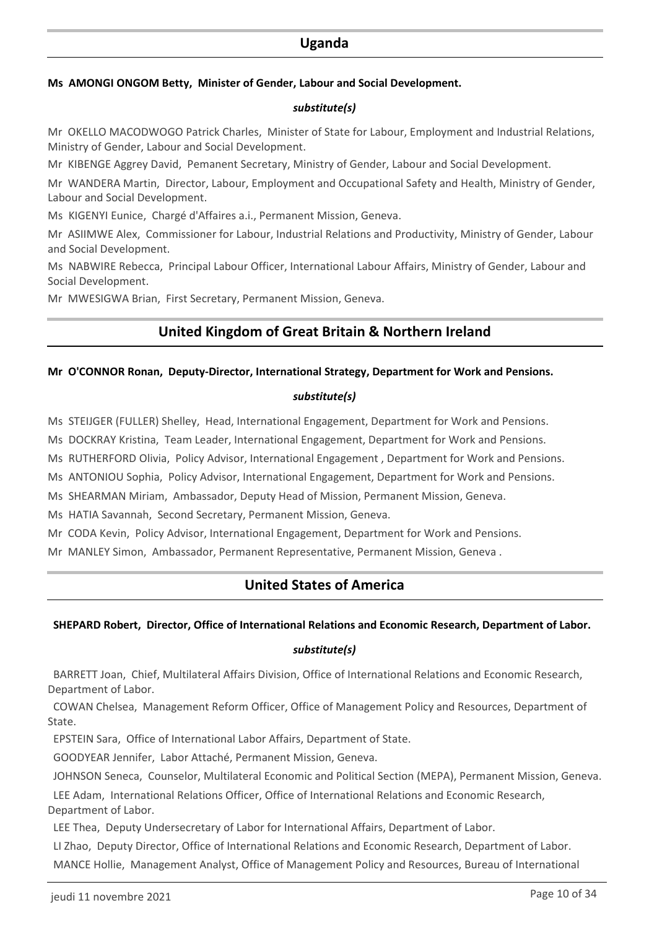### **Uganda**

#### **Ms AMONGI ONGOM Betty, Minister of Gender, Labour and Social Development.**

#### *substitute(s)*

Mr OKELLO MACODWOGO Patrick Charles, Minister of State for Labour, Employment and Industrial Relations, Ministry of Gender, Labour and Social Development.

Mr KIBENGE Aggrey David, Pemanent Secretary, Ministry of Gender, Labour and Social Development.

Mr WANDERA Martin, Director, Labour, Employment and Occupational Safety and Health, Ministry of Gender, Labour and Social Development.

Ms KIGENYI Eunice, Chargé d'Affaires a.i., Permanent Mission, Geneva.

Mr ASIIMWE Alex, Commissioner for Labour, Industrial Relations and Productivity, Ministry of Gender, Labour and Social Development.

Ms NABWIRE Rebecca, Principal Labour Officer, International Labour Affairs, Ministry of Gender, Labour and Social Development.

Mr MWESIGWA Brian, First Secretary, Permanent Mission, Geneva.

# **United Kingdom of Great Britain & Northern Ireland**

### **Mr O'CONNOR Ronan, Deputy-Director, International Strategy, Department for Work and Pensions.**

### *substitute(s)*

Ms STEIJGER (FULLER) Shelley, Head, International Engagement, Department for Work and Pensions.

Ms DOCKRAY Kristina, Team Leader, International Engagement, Department for Work and Pensions.

Ms RUTHERFORD Olivia, Policy Advisor, International Engagement , Department for Work and Pensions.

Ms ANTONIOU Sophia, Policy Advisor, International Engagement, Department for Work and Pensions.

Ms SHEARMAN Miriam, Ambassador, Deputy Head of Mission, Permanent Mission, Geneva.

Ms HATIA Savannah, Second Secretary, Permanent Mission, Geneva.

Mr CODA Kevin, Policy Advisor, International Engagement, Department for Work and Pensions.

Mr MANLEY Simon, Ambassador, Permanent Representative, Permanent Mission, Geneva .

# **United States of America**

#### **SHEPARD Robert, Director, Office of International Relations and Economic Research, Department of Labor.**

### *substitute(s)*

 BARRETT Joan, Chief, Multilateral Affairs Division, Office of International Relations and Economic Research, Department of Labor.

 COWAN Chelsea, Management Reform Officer, Office of Management Policy and Resources, Department of State.

EPSTEIN Sara, Office of International Labor Affairs, Department of State.

GOODYEAR Jennifer, Labor Attaché, Permanent Mission, Geneva.

JOHNSON Seneca, Counselor, Multilateral Economic and Political Section (MEPA), Permanent Mission, Geneva.

 LEE Adam, International Relations Officer, Office of International Relations and Economic Research, Department of Labor.

LEE Thea, Deputy Undersecretary of Labor for International Affairs, Department of Labor.

 LI Zhao, Deputy Director, Office of International Relations and Economic Research, Department of Labor. MANCE Hollie, Management Analyst, Office of Management Policy and Resources, Bureau of International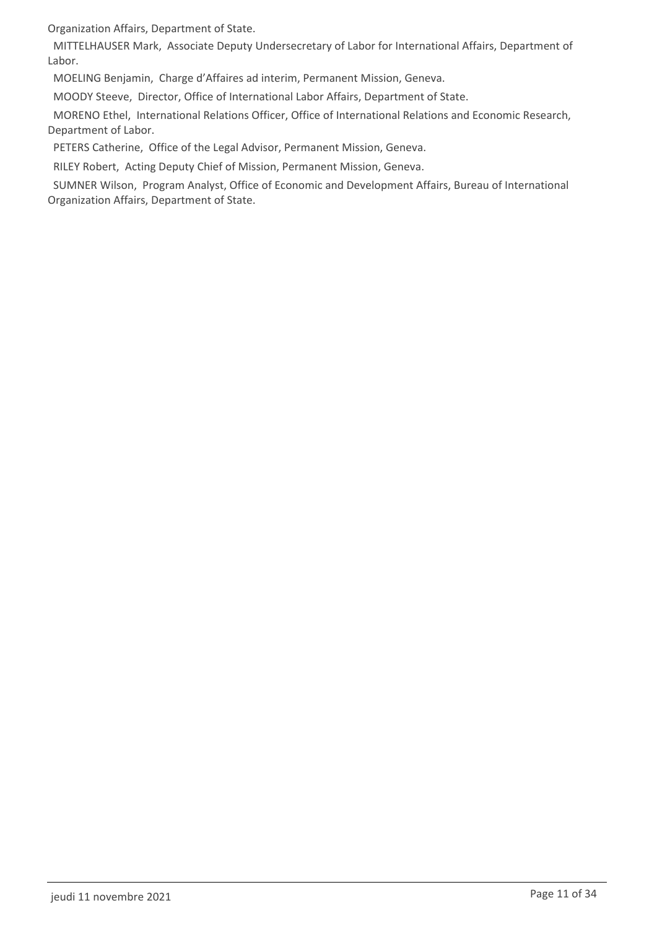Organization Affairs, Department of State.

 MITTELHAUSER Mark, Associate Deputy Undersecretary of Labor for International Affairs, Department of Labor.

MOELING Benjamin, Charge d'Affaires ad interim, Permanent Mission, Geneva.

MOODY Steeve, Director, Office of International Labor Affairs, Department of State.

 MORENO Ethel, International Relations Officer, Office of International Relations and Economic Research, Department of Labor.

PETERS Catherine, Office of the Legal Advisor, Permanent Mission, Geneva.

RILEY Robert, Acting Deputy Chief of Mission, Permanent Mission, Geneva.

 SUMNER Wilson, Program Analyst, Office of Economic and Development Affairs, Bureau of International Organization Affairs, Department of State.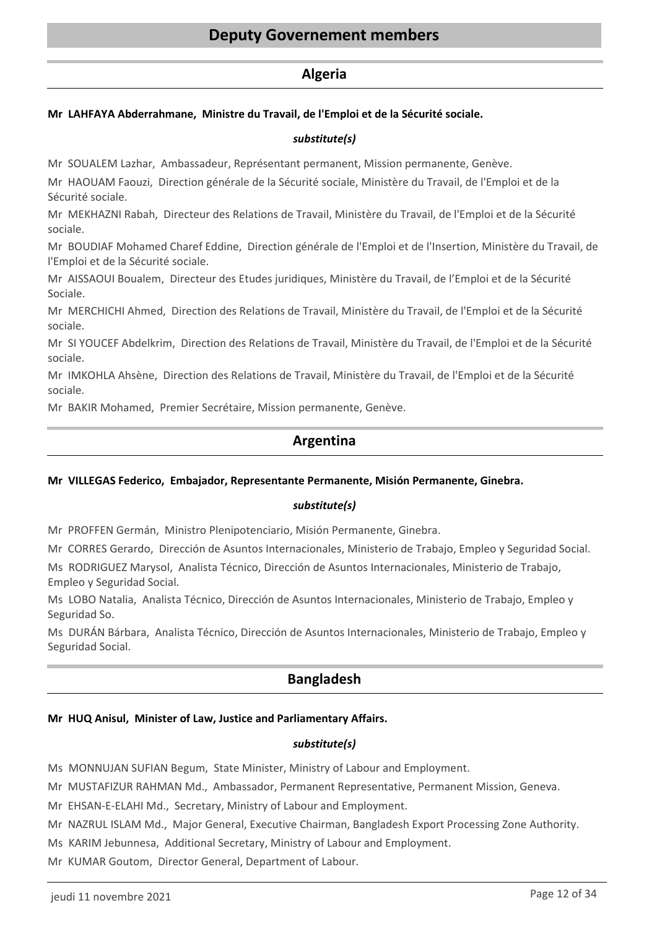### **Algeria**

### **Mr LAHFAYA Abderrahmane, Ministre du Travail, de l'Emploi et de la Sécurité sociale.**

#### *substitute(s)*

Mr SOUALEM Lazhar, Ambassadeur, Représentant permanent, Mission permanente, Genève.

Mr HAOUAM Faouzi, Direction générale de la Sécurité sociale, Ministère du Travail, de l'Emploi et de la Sécurité sociale.

Mr MEKHAZNI Rabah, Directeur des Relations de Travail, Ministère du Travail, de l'Emploi et de la Sécurité sociale.

Mr BOUDIAF Mohamed Charef Eddine, Direction générale de l'Emploi et de l'Insertion, Ministère du Travail, de l'Emploi et de la Sécurité sociale.

Mr AISSAOUI Boualem, Directeur des Etudes juridiques, Ministère du Travail, de l'Emploi et de la Sécurité Sociale.

Mr MERCHICHI Ahmed, Direction des Relations de Travail, Ministère du Travail, de l'Emploi et de la Sécurité sociale.

Mr SI YOUCEF Abdelkrim, Direction des Relations de Travail, Ministère du Travail, de l'Emploi et de la Sécurité sociale.

Mr IMKOHLA Ahsène, Direction des Relations de Travail, Ministère du Travail, de l'Emploi et de la Sécurité sociale.

Mr BAKIR Mohamed, Premier Secrétaire, Mission permanente, Genève.

# **Argentina**

#### **Mr VILLEGAS Federico, Embajador, Representante Permanente, Misión Permanente, Ginebra.**

#### *substitute(s)*

Mr PROFFEN Germán, Ministro Plenipotenciario, Misión Permanente, Ginebra.

Mr CORRES Gerardo, Dirección de Asuntos Internacionales, Ministerio de Trabajo, Empleo y Seguridad Social.

Ms RODRIGUEZ Marysol, Analista Técnico, Dirección de Asuntos Internacionales, Ministerio de Trabajo, Empleo y Seguridad Social.

Ms LOBO Natalia, Analista Técnico, Dirección de Asuntos Internacionales, Ministerio de Trabajo, Empleo y Seguridad So.

Ms DURÁN Bárbara, Analista Técnico, Dirección de Asuntos Internacionales, Ministerio de Trabajo, Empleo y Seguridad Social.

# **Bangladesh**

#### **Mr HUQ Anisul, Minister of Law, Justice and Parliamentary Affairs.**

#### *substitute(s)*

Ms MONNUJAN SUFIAN Begum, State Minister, Ministry of Labour and Employment.

Mr MUSTAFIZUR RAHMAN Md., Ambassador, Permanent Representative, Permanent Mission, Geneva.

Mr EHSAN-E-ELAHI Md., Secretary, Ministry of Labour and Employment.

Mr NAZRUL ISLAM Md., Major General, Executive Chairman, Bangladesh Export Processing Zone Authority.

Ms KARIM Jebunnesa, Additional Secretary, Ministry of Labour and Employment.

Mr KUMAR Goutom, Director General, Department of Labour.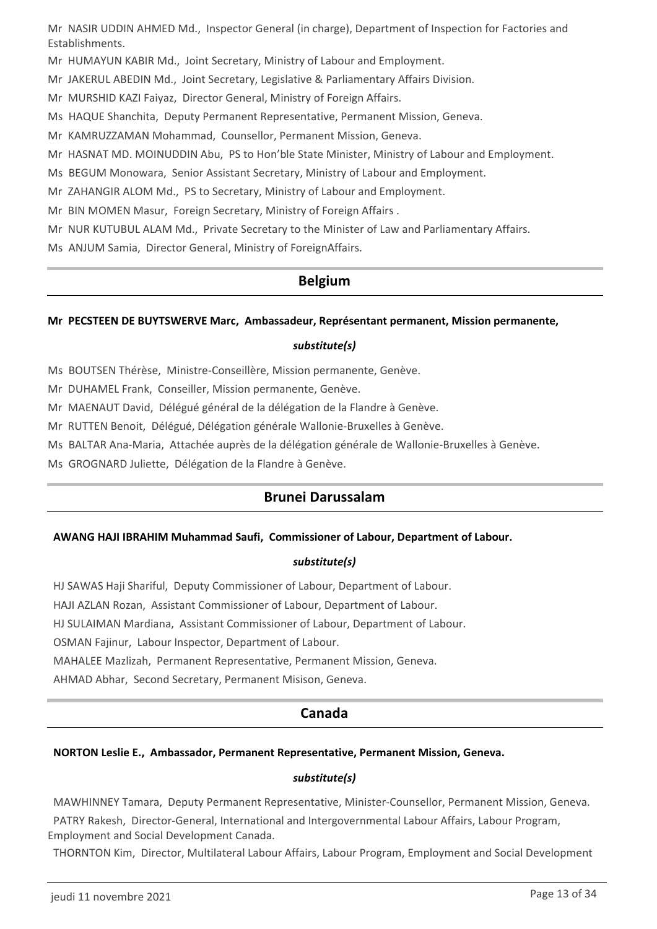Mr NASIR UDDIN AHMED Md., Inspector General (in charge), Department of Inspection for Factories and Establishments.

- Mr HUMAYUN KABIR Md., Joint Secretary, Ministry of Labour and Employment.
- Mr JAKERUL ABEDIN Md., Joint Secretary, Legislative & Parliamentary Affairs Division.
- Mr MURSHID KAZI Faiyaz, Director General, Ministry of Foreign Affairs.
- Ms HAQUE Shanchita, Deputy Permanent Representative, Permanent Mission, Geneva.
- Mr KAMRUZZAMAN Mohammad, Counsellor, Permanent Mission, Geneva.
- Mr HASNAT MD. MOINUDDIN Abu, PS to Hon'ble State Minister, Ministry of Labour and Employment.
- Ms BEGUM Monowara, Senior Assistant Secretary, Ministry of Labour and Employment.
- Mr ZAHANGIR ALOM Md., PS to Secretary, Ministry of Labour and Employment.
- Mr BIN MOMEN Masur, Foreign Secretary, Ministry of Foreign Affairs .
- Mr NUR KUTUBUL ALAM Md., Private Secretary to the Minister of Law and Parliamentary Affairs.
- Ms ANJUM Samia, Director General, Ministry of ForeignAffairs.

# **Belgium**

#### **Mr PECSTEEN DE BUYTSWERVE Marc, Ambassadeur, Représentant permanent, Mission permanente,**

### *substitute(s)*

Ms BOUTSEN Thérèse, Ministre-Conseillère, Mission permanente, Genève.

Mr DUHAMEL Frank, Conseiller, Mission permanente, Genève.

Mr MAENAUT David, Délégué général de la délégation de la Flandre à Genève.

Mr RUTTEN Benoit, Délégué, Délégation générale Wallonie-Bruxelles à Genève.

- Ms BALTAR Ana-Maria, Attachée auprès de la délégation générale de Wallonie-Bruxelles à Genève.
- Ms GROGNARD Juliette, Délégation de la Flandre à Genève.

# **Brunei Darussalam**

#### **AWANG HAJI IBRAHIM Muhammad Saufi, Commissioner of Labour, Department of Labour.**

#### *substitute(s)*

HJ SAWAS Haji Shariful, Deputy Commissioner of Labour, Department of Labour.

HAJI AZLAN Rozan, Assistant Commissioner of Labour, Department of Labour.

HJ SULAIMAN Mardiana, Assistant Commissioner of Labour, Department of Labour.

OSMAN Fajinur, Labour Inspector, Department of Labour.

MAHALEE Mazlizah, Permanent Representative, Permanent Mission, Geneva.

AHMAD Abhar, Second Secretary, Permanent Misison, Geneva.

# **Canada**

### **NORTON Leslie E., Ambassador, Permanent Representative, Permanent Mission, Geneva.**

### *substitute(s)*

MAWHINNEY Tamara, Deputy Permanent Representative, Minister-Counsellor, Permanent Mission, Geneva.

 PATRY Rakesh, Director-General, International and Intergovernmental Labour Affairs, Labour Program, Employment and Social Development Canada.

THORNTON Kim, Director, Multilateral Labour Affairs, Labour Program, Employment and Social Development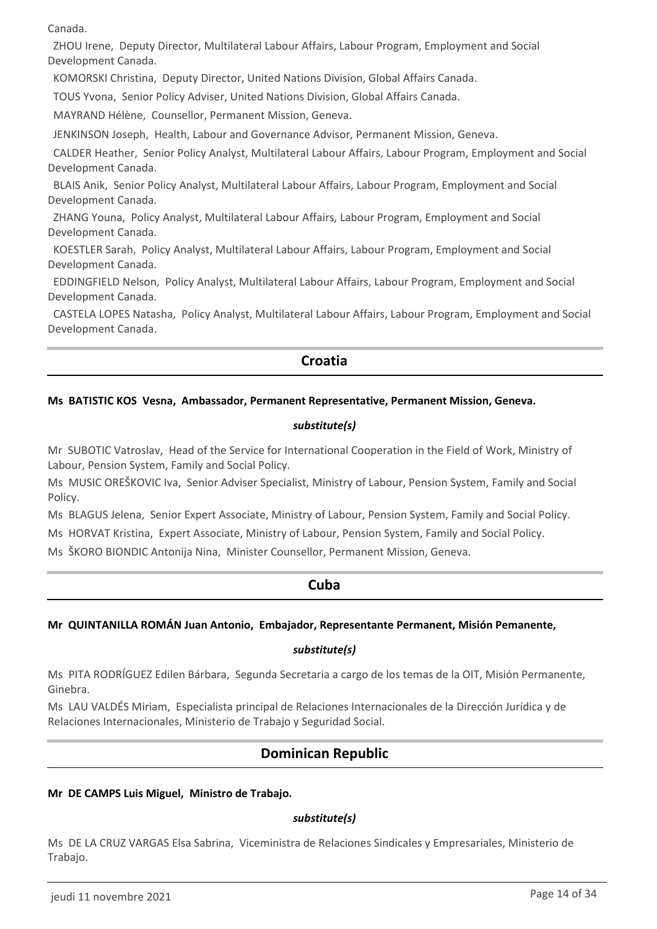Canada.

 ZHOU Irene, Deputy Director, Multilateral Labour Affairs, Labour Program, Employment and Social Development Canada.

KOMORSKI Christina, Deputy Director, United Nations Division, Global Affairs Canada.

TOUS Yvona, Senior Policy Adviser, United Nations Division, Global Affairs Canada.

MAYRAND Hélène, Counsellor, Permanent Mission, Geneva.

JENKINSON Joseph, Health, Labour and Governance Advisor, Permanent Mission, Geneva.

 CALDER Heather, Senior Policy Analyst, Multilateral Labour Affairs, Labour Program, Employment and Social Development Canada.

 BLAIS Anik, Senior Policy Analyst, Multilateral Labour Affairs, Labour Program, Employment and Social Development Canada.

 ZHANG Youna, Policy Analyst, Multilateral Labour Affairs, Labour Program, Employment and Social Development Canada.

 KOESTLER Sarah, Policy Analyst, Multilateral Labour Affairs, Labour Program, Employment and Social Development Canada.

 EDDINGFIELD Nelson, Policy Analyst, Multilateral Labour Affairs, Labour Program, Employment and Social Development Canada.

 CASTELA LOPES Natasha, Policy Analyst, Multilateral Labour Affairs, Labour Program, Employment and Social Development Canada.

# **Croatia**

### **Ms BATISTIC KOS Vesna, Ambassador, Permanent Representative, Permanent Mission, Geneva.**

#### *substitute(s)*

Mr SUBOTIC Vatroslav, Head of the Service for International Cooperation in the Field of Work, Ministry of Labour, Pension System, Family and Social Policy.

Ms MUSIC OREŠKOVIC Iva, Senior Adviser Specialist, Ministry of Labour, Pension System, Family and Social Policy.

Ms BLAGUS Jelena, Senior Expert Associate, Ministry of Labour, Pension System, Family and Social Policy.

Ms HORVAT Kristina, Expert Associate, Ministry of Labour, Pension System, Family and Social Policy.

Ms ŠKORO BIONDIC Antonija Nina, Minister Counsellor, Permanent Mission, Geneva.

### **Cuba**

### **Mr QUINTANILLA ROMÁN Juan Antonio, Embajador, Representante Permanent, Misión Pemanente,**

#### *substitute(s)*

Ms PITA RODRÍGUEZ Edilen Bárbara, Segunda Secretaria a cargo de los temas de la OIT, Misión Permanente, Ginebra.

Ms LAU VALDÉS Miriam, Especialista principal de Relaciones Internacionales de la Dirección Jurídica y de Relaciones Internacionales, Ministerio de Trabajo y Seguridad Social.

# **Dominican Republic**

#### **Mr DE CAMPS Luis Miguel, Ministro de Trabajo.**

#### *substitute(s)*

Ms DE LA CRUZ VARGAS Elsa Sabrina, Viceministra de Relaciones Sindicales y Empresariales, Ministerio de Trabajo.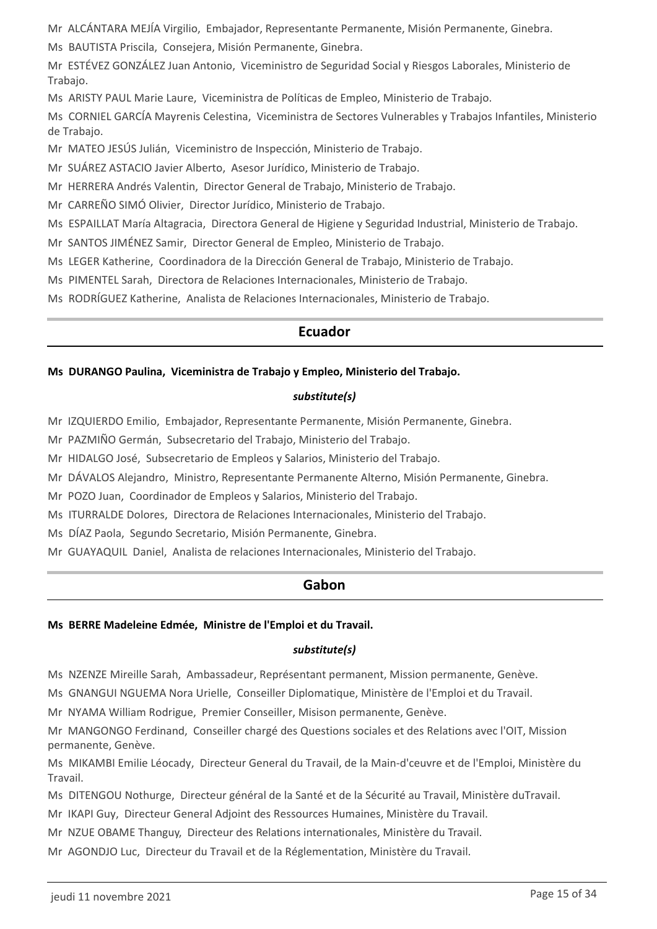Mr ALCÁNTARA MEJÍA Virgilio, Embajador, Representante Permanente, Misión Permanente, Ginebra.

Ms BAUTISTA Priscila, Consejera, Misión Permanente, Ginebra.

Mr ESTÉVEZ GONZÁLEZ Juan Antonio, Viceministro de Seguridad Social y Riesgos Laborales, Ministerio de Trabajo.

Ms ARISTY PAUL Marie Laure, Viceministra de Políticas de Empleo, Ministerio de Trabajo.

Ms CORNIEL GARCÍA Mayrenis Celestina, Viceministra de Sectores Vulnerables y Trabajos Infantiles, Ministerio de Trabajo.

Mr MATEO JESÚS Julián, Viceministro de Inspección, Ministerio de Trabajo.

Mr SUÁREZ ASTACIO Javier Alberto, Asesor Jurídico, Ministerio de Trabajo.

Mr HERRERA Andrés Valentin, Director General de Trabajo, Ministerio de Trabajo.

Mr CARREÑO SIMÓ Olivier, Director Jurídico, Ministerio de Trabajo.

Ms ESPAILLAT María Altagracia, Directora General de Higiene y Seguridad Industrial, Ministerio de Trabajo.

Mr SANTOS JIMÉNEZ Samir, Director General de Empleo, Ministerio de Trabajo.

Ms LEGER Katherine, Coordinadora de la Dirección General de Trabajo, Ministerio de Trabajo.

Ms PIMENTEL Sarah, Directora de Relaciones Internacionales, Ministerio de Trabajo.

Ms RODRÍGUEZ Katherine, Analista de Relaciones Internacionales, Ministerio de Trabajo.

### **Ecuador**

### **Ms DURANGO Paulina, Viceministra de Trabajo y Empleo, Ministerio del Trabajo.**

### *substitute(s)*

Mr IZQUIERDO Emilio, Embajador, Representante Permanente, Misión Permanente, Ginebra.

Mr PAZMIÑO Germán, Subsecretario del Trabajo, Ministerio del Trabajo.

Mr HIDALGO José, Subsecretario de Empleos y Salarios, Ministerio del Trabajo.

Mr DÁVALOS Alejandro, Ministro, Representante Permanente Alterno, Misión Permanente, Ginebra.

Mr POZO Juan, Coordinador de Empleos y Salarios, Ministerio del Trabajo.

Ms ITURRALDE Dolores, Directora de Relaciones Internacionales, Ministerio del Trabajo.

Ms DÍAZ Paola, Segundo Secretario, Misión Permanente, Ginebra.

Mr GUAYAQUIL Daniel, Analista de relaciones Internacionales, Ministerio del Trabajo.

### **Gabon**

### **Ms BERRE Madeleine Edmée, Ministre de l'Emploi et du Travail.**

### *substitute(s)*

Ms NZENZE Mireille Sarah, Ambassadeur, Représentant permanent, Mission permanente, Genève.

Ms GNANGUI NGUEMA Nora Urielle, Conseiller Diplomatique, Ministère de l'Emploi et du Travail.

Mr NYAMA William Rodrigue, Premier Conseiller, Misison permanente, Genève.

Mr MANGONGO Ferdinand, Conseiller chargé des Questions sociales et des Relations avec l'OIT, Mission permanente, Genève.

Ms MIKAMBI Emilie Léocady, Directeur General du Travail, de la Main-d'ceuvre et de l'Emploi, Ministère du Travail.

Ms DITENGOU Nothurge, Directeur général de la Santé et de la Sécurité au Travail, Ministère duTravail.

Mr IKAPI Guy, Directeur General Adjoint des Ressources Humaines, Ministère du Travail.

Mr NZUE OBAME Thanguy, Directeur des Relations internationales, Ministère du Travail.

Mr AGONDJO Luc, Directeur du Travail et de la Réglementation, Ministère du Travail.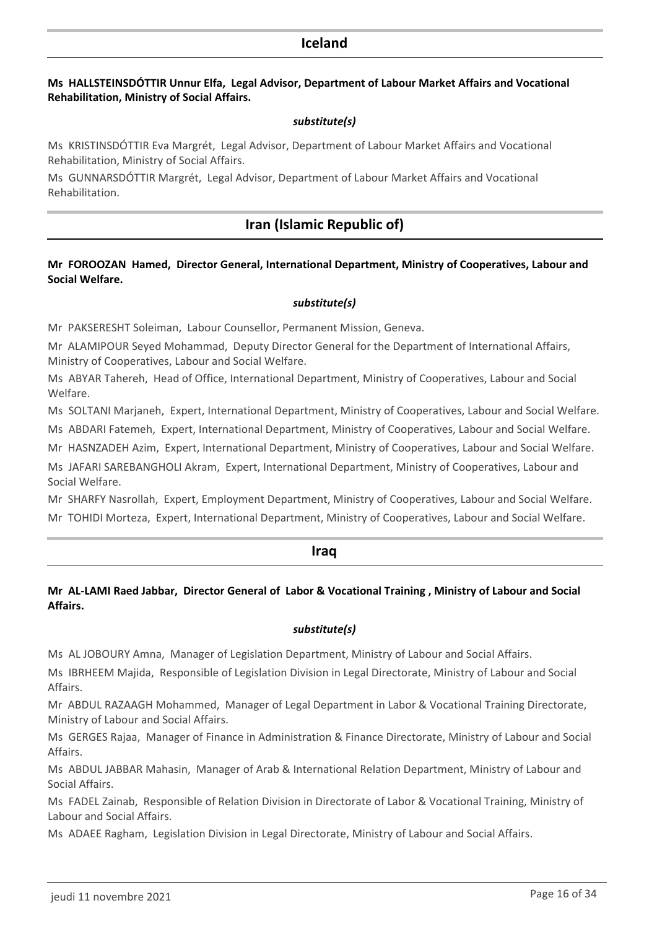### **Iceland**

#### **Ms HALLSTEINSDÓTTIR Unnur Elfa, Legal Advisor, Department of Labour Market Affairs and Vocational Rehabilitation, Ministry of Social Affairs.**

#### *substitute(s)*

Ms KRISTINSDÓTTIR Eva Margrét, Legal Advisor, Department of Labour Market Affairs and Vocational Rehabilitation, Ministry of Social Affairs.

Ms GUNNARSDÓTTIR Margrét, Legal Advisor, Department of Labour Market Affairs and Vocational Rehabilitation.

# **Iran (Islamic Republic of)**

### **Mr FOROOZAN Hamed, Director General, International Department, Ministry of Cooperatives, Labour and Social Welfare.**

#### *substitute(s)*

Mr PAKSERESHT Soleiman, Labour Counsellor, Permanent Mission, Geneva.

Mr ALAMIPOUR Seyed Mohammad, Deputy Director General for the Department of International Affairs, Ministry of Cooperatives, Labour and Social Welfare.

Ms ABYAR Tahereh, Head of Office, International Department, Ministry of Cooperatives, Labour and Social Welfare.

Ms SOLTANI Marjaneh, Expert, International Department, Ministry of Cooperatives, Labour and Social Welfare.

Ms ABDARI Fatemeh, Expert, International Department, Ministry of Cooperatives, Labour and Social Welfare.

Mr HASNZADEH Azim, Expert, International Department, Ministry of Cooperatives, Labour and Social Welfare. Ms JAFARI SAREBANGHOLI Akram, Expert, International Department, Ministry of Cooperatives, Labour and Social Welfare.

Mr SHARFY Nasrollah, Expert, Employment Department, Ministry of Cooperatives, Labour and Social Welfare. Mr TOHIDI Morteza, Expert, International Department, Ministry of Cooperatives, Labour and Social Welfare.

### **Iraq**

### **Mr AL-LAMI Raed Jabbar, Director General of Labor & Vocational Training , Ministry of Labour and Social Affairs.**

#### *substitute(s)*

Ms AL JOBOURY Amna, Manager of Legislation Department, Ministry of Labour and Social Affairs.

Ms IBRHEEM Majida, Responsible of Legislation Division in Legal Directorate, Ministry of Labour and Social Affairs.

Mr ABDUL RAZAAGH Mohammed, Manager of Legal Department in Labor & Vocational Training Directorate, Ministry of Labour and Social Affairs.

Ms GERGES Rajaa, Manager of Finance in Administration & Finance Directorate, Ministry of Labour and Social Affairs.

Ms ABDUL JABBAR Mahasin, Manager of Arab & International Relation Department, Ministry of Labour and Social Affairs.

Ms FADEL Zainab, Responsible of Relation Division in Directorate of Labor & Vocational Training, Ministry of Labour and Social Affairs.

Ms ADAEE Ragham, Legislation Division in Legal Directorate, Ministry of Labour and Social Affairs.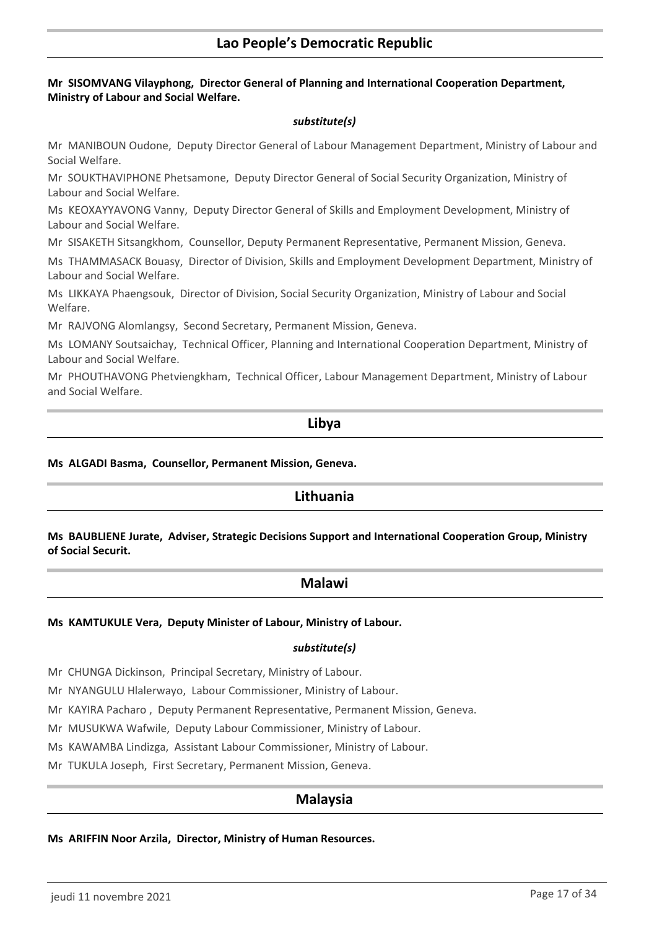### **Lao People's Democratic Republic**

#### **Mr SISOMVANG Vilayphong, Director General of Planning and International Cooperation Department, Ministry of Labour and Social Welfare.**

#### *substitute(s)*

Mr MANIBOUN Oudone, Deputy Director General of Labour Management Department, Ministry of Labour and Social Welfare.

Mr SOUKTHAVIPHONE Phetsamone, Deputy Director General of Social Security Organization, Ministry of Labour and Social Welfare.

Ms KEOXAYYAVONG Vanny, Deputy Director General of Skills and Employment Development, Ministry of Labour and Social Welfare.

Mr SISAKETH Sitsangkhom, Counsellor, Deputy Permanent Representative, Permanent Mission, Geneva.

Ms THAMMASACK Bouasy, Director of Division, Skills and Employment Development Department, Ministry of Labour and Social Welfare.

Ms LIKKAYA Phaengsouk, Director of Division, Social Security Organization, Ministry of Labour and Social Welfare.

Mr RAJVONG Alomlangsy, Second Secretary, Permanent Mission, Geneva.

Ms LOMANY Soutsaichay, Technical Officer, Planning and International Cooperation Department, Ministry of Labour and Social Welfare.

Mr PHOUTHAVONG Phetviengkham, Technical Officer, Labour Management Department, Ministry of Labour and Social Welfare.

### **Libya**

#### **Ms ALGADI Basma, Counsellor, Permanent Mission, Geneva.**

### **Lithuania**

**Ms BAUBLIENE Jurate, Adviser, Strategic Decisions Support and International Cooperation Group, Ministry of Social Securit.**

### **Malawi**

#### **Ms KAMTUKULE Vera, Deputy Minister of Labour, Ministry of Labour.**

#### *substitute(s)*

Mr CHUNGA Dickinson, Principal Secretary, Ministry of Labour.

Mr NYANGULU Hlalerwayo, Labour Commissioner, Ministry of Labour.

Mr KAYIRA Pacharo , Deputy Permanent Representative, Permanent Mission, Geneva.

Mr MUSUKWA Wafwile, Deputy Labour Commissioner, Ministry of Labour.

Ms KAWAMBA Lindizga, Assistant Labour Commissioner, Ministry of Labour.

Mr TUKULA Joseph, First Secretary, Permanent Mission, Geneva.

### **Malaysia**

#### **Ms ARIFFIN Noor Arzila, Director, Ministry of Human Resources.**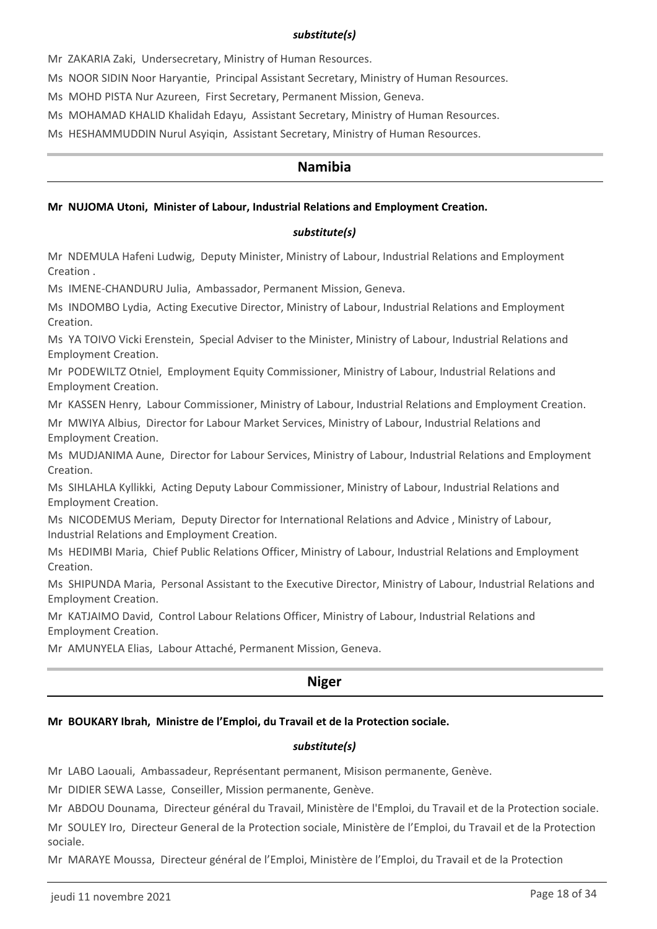#### *substitute(s)*

Mr ZAKARIA Zaki, Undersecretary, Ministry of Human Resources.

Ms NOOR SIDIN Noor Haryantie, Principal Assistant Secretary, Ministry of Human Resources.

Ms MOHD PISTA Nur Azureen, First Secretary, Permanent Mission, Geneva.

Ms MOHAMAD KHALID Khalidah Edayu, Assistant Secretary, Ministry of Human Resources.

Ms HESHAMMUDDIN Nurul Asyiqin, Assistant Secretary, Ministry of Human Resources.

### **Namibia**

# **Mr NUJOMA Utoni, Minister of Labour, Industrial Relations and Employment Creation.**

### *substitute(s)*

Mr NDEMULA Hafeni Ludwig, Deputy Minister, Ministry of Labour, Industrial Relations and Employment Creation .

Ms IMENE-CHANDURU Julia, Ambassador, Permanent Mission, Geneva.

Ms INDOMBO Lydia, Acting Executive Director, Ministry of Labour, Industrial Relations and Employment Creation.

Ms YA TOIVO Vicki Erenstein, Special Adviser to the Minister, Ministry of Labour, Industrial Relations and Employment Creation.

Mr PODEWILTZ Otniel, Employment Equity Commissioner, Ministry of Labour, Industrial Relations and Employment Creation.

Mr KASSEN Henry, Labour Commissioner, Ministry of Labour, Industrial Relations and Employment Creation.

Mr MWIYA Albius, Director for Labour Market Services, Ministry of Labour, Industrial Relations and Employment Creation.

Ms MUDJANIMA Aune, Director for Labour Services, Ministry of Labour, Industrial Relations and Employment Creation.

Ms SIHLAHLA Kyllikki, Acting Deputy Labour Commissioner, Ministry of Labour, Industrial Relations and Employment Creation.

Ms NICODEMUS Meriam, Deputy Director for International Relations and Advice , Ministry of Labour, Industrial Relations and Employment Creation.

Ms HEDIMBI Maria, Chief Public Relations Officer, Ministry of Labour, Industrial Relations and Employment Creation.

Ms SHIPUNDA Maria, Personal Assistant to the Executive Director, Ministry of Labour, Industrial Relations and Employment Creation.

Mr KATJAIMO David, Control Labour Relations Officer, Ministry of Labour, Industrial Relations and Employment Creation.

Mr AMUNYELA Elias, Labour Attaché, Permanent Mission, Geneva.

# **Niger**

# **Mr BOUKARY Ibrah, Ministre de l'Emploi, du Travail et de la Protection sociale.**

# *substitute(s)*

Mr LABO Laouali, Ambassadeur, Représentant permanent, Misison permanente, Genève.

Mr DIDIER SEWA Lasse, Conseiller, Mission permanente, Genève.

Mr ABDOU Dounama, Directeur général du Travail, Ministère de l'Emploi, du Travail et de la Protection sociale.

Mr SOULEY Iro, Directeur General de la Protection sociale, Ministère de l'Emploi, du Travail et de la Protection sociale.

Mr MARAYE Moussa, Directeur général de l'Emploi, Ministère de l'Emploi, du Travail et de la Protection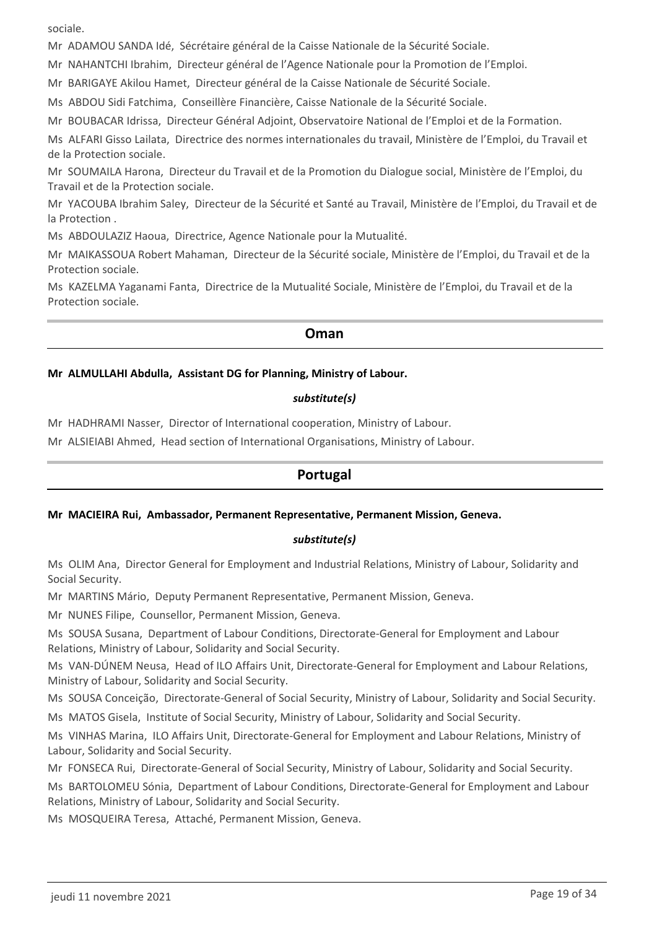sociale.

Mr ADAMOU SANDA Idé, Sécrétaire général de la Caisse Nationale de la Sécurité Sociale.

Mr NAHANTCHI Ibrahim, Directeur général de l'Agence Nationale pour la Promotion de l'Emploi.

Mr BARIGAYE Akilou Hamet, Directeur général de la Caisse Nationale de Sécurité Sociale.

Ms ABDOU Sidi Fatchima, Conseillère Financière, Caisse Nationale de la Sécurité Sociale.

Mr BOUBACAR Idrissa, Directeur Général Adjoint, Observatoire National de l'Emploi et de la Formation.

Ms ALFARI Gisso Lailata, Directrice des normes internationales du travail, Ministère de l'Emploi, du Travail et de la Protection sociale.

Mr SOUMAILA Harona, Directeur du Travail et de la Promotion du Dialogue social, Ministère de l'Emploi, du Travail et de la Protection sociale.

Mr YACOUBA Ibrahim Saley, Directeur de la Sécurité et Santé au Travail, Ministère de l'Emploi, du Travail et de la Protection .

Ms ABDOULAZIZ Haoua, Directrice, Agence Nationale pour la Mutualité.

Mr MAIKASSOUA Robert Mahaman, Directeur de la Sécurité sociale, Ministère de l'Emploi, du Travail et de la Protection sociale.

Ms KAZELMA Yaganami Fanta, Directrice de la Mutualité Sociale, Ministère de l'Emploi, du Travail et de la Protection sociale.

### **Oman**

### **Mr ALMULLAHI Abdulla, Assistant DG for Planning, Ministry of Labour.**

### *substitute(s)*

Mr HADHRAMI Nasser, Director of International cooperation, Ministry of Labour.

Mr ALSIEIABI Ahmed, Head section of International Organisations, Ministry of Labour.

### **Portugal**

#### **Mr MACIEIRA Rui, Ambassador, Permanent Representative, Permanent Mission, Geneva.**

### *substitute(s)*

Ms OLIM Ana, Director General for Employment and Industrial Relations, Ministry of Labour, Solidarity and Social Security.

Mr MARTINS Mário, Deputy Permanent Representative, Permanent Mission, Geneva.

Mr NUNES Filipe, Counsellor, Permanent Mission, Geneva.

Ms SOUSA Susana, Department of Labour Conditions, Directorate-General for Employment and Labour Relations, Ministry of Labour, Solidarity and Social Security.

Ms VAN-DÚNEM Neusa, Head of ILO Affairs Unit, Directorate-General for Employment and Labour Relations, Ministry of Labour, Solidarity and Social Security.

Ms SOUSA Conceição, Directorate-General of Social Security, Ministry of Labour, Solidarity and Social Security.

Ms MATOS Gisela, Institute of Social Security, Ministry of Labour, Solidarity and Social Security.

Ms VINHAS Marina, ILO Affairs Unit, Directorate-General for Employment and Labour Relations, Ministry of Labour, Solidarity and Social Security.

Mr FONSECA Rui, Directorate-General of Social Security, Ministry of Labour, Solidarity and Social Security.

Ms BARTOLOMEU Sónia, Department of Labour Conditions, Directorate-General for Employment and Labour Relations, Ministry of Labour, Solidarity and Social Security.

Ms MOSQUEIRA Teresa, Attaché, Permanent Mission, Geneva.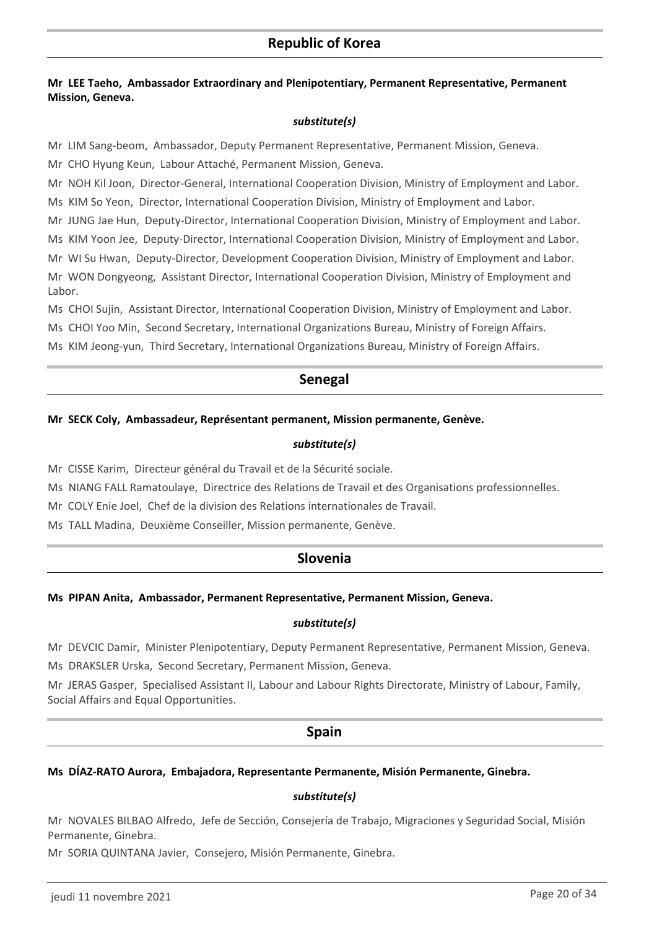### **Mr LEE Taeho, Ambassador Extraordinary and Plenipotentiary, Permanent Representative, Permanent Mission, Geneva.**

### *substitute(s)*

Mr LIM Sang-beom, Ambassador, Deputy Permanent Representative, Permanent Mission, Geneva.

Mr CHO Hyung Keun, Labour Attaché, Permanent Mission, Geneva.

Mr NOH Kil Joon, Director-General, International Cooperation Division, Ministry of Employment and Labor.

Ms KIM So Yeon, Director, International Cooperation Division, Ministry of Employment and Labor.

Mr JUNG Jae Hun, Deputy-Director, International Cooperation Division, Ministry of Employment and Labor.

Ms KIM Yoon Jee, Deputy-Director, International Cooperation Division, Ministry of Employment and Labor.

Mr WI Su Hwan, Deputy-Director, Development Cooperation Division, Ministry of Employment and Labor. Mr WON Dongyeong, Assistant Director, International Cooperation Division, Ministry of Employment and Labor.

Ms CHOI Sujin, Assistant Director, International Cooperation Division, Ministry of Employment and Labor.

Ms CHOI Yoo Min, Second Secretary, International Organizations Bureau, Ministry of Foreign Affairs.

Ms KIM Jeong-yun, Third Secretary, International Organizations Bureau, Ministry of Foreign Affairs.

# **Senegal**

### **Mr SECK Coly, Ambassadeur, Représentant permanent, Mission permanente, Genève.**

### *substitute(s)*

Mr CISSE Karim, Directeur général du Travail et de la Sécurité sociale.

Ms NIANG FALL Ramatoulaye, Directrice des Relations de Travail et des Organisations professionnelles.

Mr COLY Enie Joel, Chef de la division des Relations internationales de Travail.

Ms TALL Madina, Deuxième Conseiller, Mission permanente, Genève.

# **Slovenia**

### **Ms PIPAN Anita, Ambassador, Permanent Representative, Permanent Mission, Geneva.**

#### *substitute(s)*

Mr DEVCIC Damir, Minister Plenipotentiary, Deputy Permanent Representative, Permanent Mission, Geneva. Ms DRAKSLER Urska, Second Secretary, Permanent Mission, Geneva.

Mr JERAS Gasper, Specialised Assistant II, Labour and Labour Rights Directorate, Ministry of Labour, Family, Social Affairs and Equal Opportunities.

### **Spain**

### **Ms DÍAZ-RATO Aurora, Embajadora, Representante Permanente, Misión Permanente, Ginebra.**

### *substitute(s)*

Mr NOVALES BILBAO Alfredo, Jefe de Sección, Consejería de Trabajo, Migraciones y Seguridad Social, Misión Permanente, Ginebra.

Mr SORIA QUINTANA Javier, Consejero, Misión Permanente, Ginebra.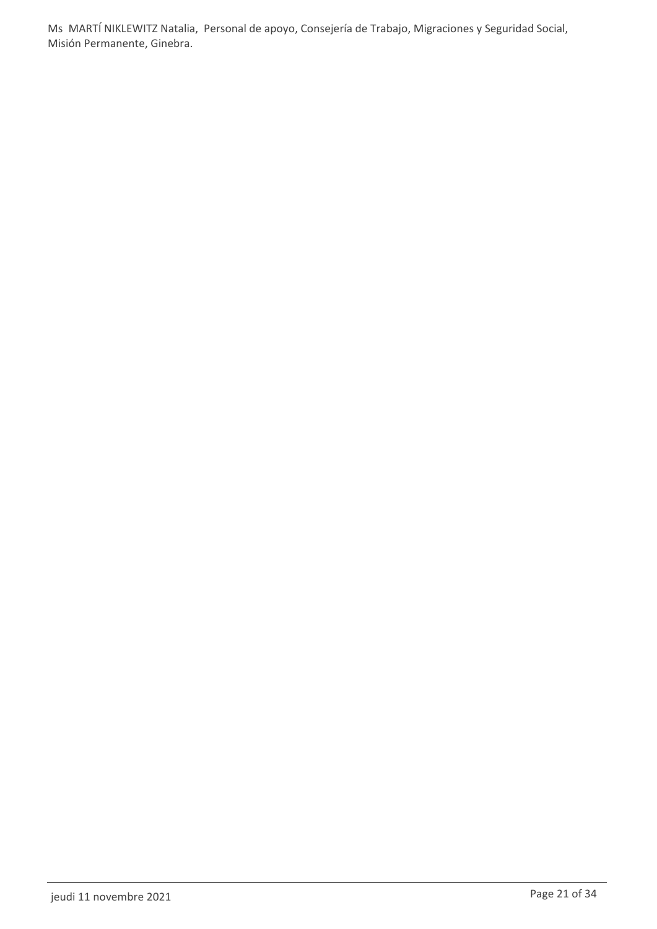Ms MARTÍ NIKLEWITZ Natalia, Personal de apoyo, Consejería de Trabajo, Migraciones y Seguridad Social, Misión Permanente, Ginebra.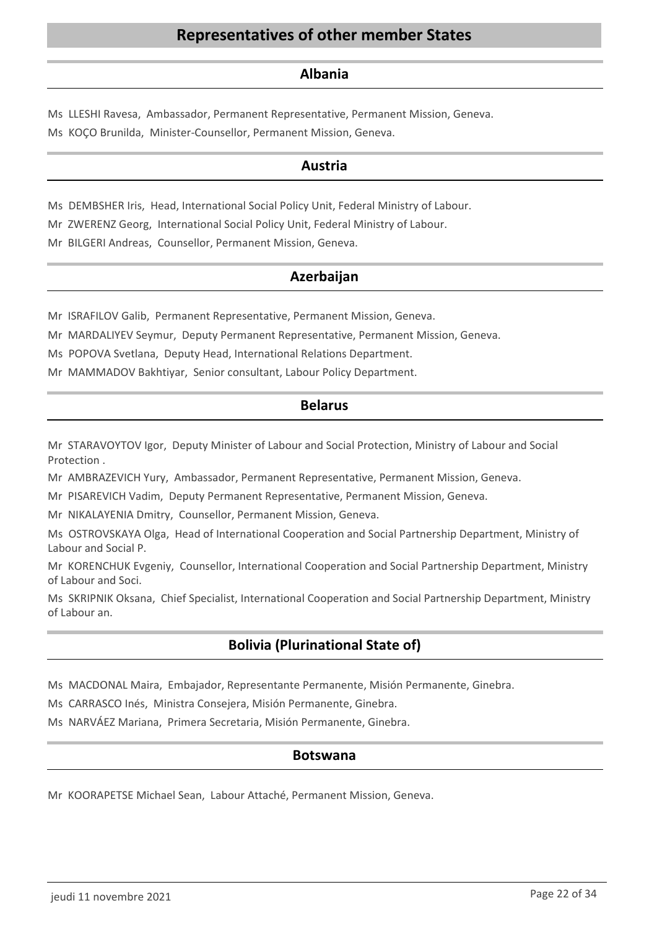# **Representatives of other member States**

### **Albania**

Ms LLESHI Ravesa, Ambassador, Permanent Representative, Permanent Mission, Geneva. Ms KOÇO Brunilda, Minister-Counsellor, Permanent Mission, Geneva.

### **Austria**

Ms DEMBSHER Iris, Head, International Social Policy Unit, Federal Ministry of Labour.

Mr ZWERENZ Georg, International Social Policy Unit, Federal Ministry of Labour.

Mr BILGERI Andreas, Counsellor, Permanent Mission, Geneva.

### **Azerbaijan**

Mr ISRAFILOV Galib, Permanent Representative, Permanent Mission, Geneva.

Mr MARDALIYEV Seymur, Deputy Permanent Representative, Permanent Mission, Geneva.

Ms POPOVA Svetlana, Deputy Head, International Relations Department.

Mr MAMMADOV Bakhtiyar, Senior consultant, Labour Policy Department.

### **Belarus**

Mr STARAVOYTOV Igor, Deputy Minister of Labour and Social Protection, Ministry of Labour and Social Protection .

Mr AMBRAZEVICH Yury, Ambassador, Permanent Representative, Permanent Mission, Geneva.

Mr PISAREVICH Vadim, Deputy Permanent Representative, Permanent Mission, Geneva.

Mr NIKALAYENIA Dmitry, Counsellor, Permanent Mission, Geneva.

Ms OSTROVSKAYA Olga, Head of International Cooperation and Social Partnership Department, Ministry of Labour and Social P.

Mr KORENCHUK Evgeniy, Counsellor, International Cooperation and Social Partnership Department, Ministry of Labour and Soci.

Ms SKRIPNIK Oksana, Chief Specialist, International Cooperation and Social Partnership Department, Ministry of Labour an.

# **Bolivia (Plurinational State of)**

Ms MACDONAL Maira, Embajador, Representante Permanente, Misión Permanente, Ginebra.

Ms CARRASCO Inés, Ministra Consejera, Misión Permanente, Ginebra.

Ms NARVÁEZ Mariana, Primera Secretaria, Misión Permanente, Ginebra.

### **Botswana**

Mr KOORAPETSE Michael Sean, Labour Attaché, Permanent Mission, Geneva.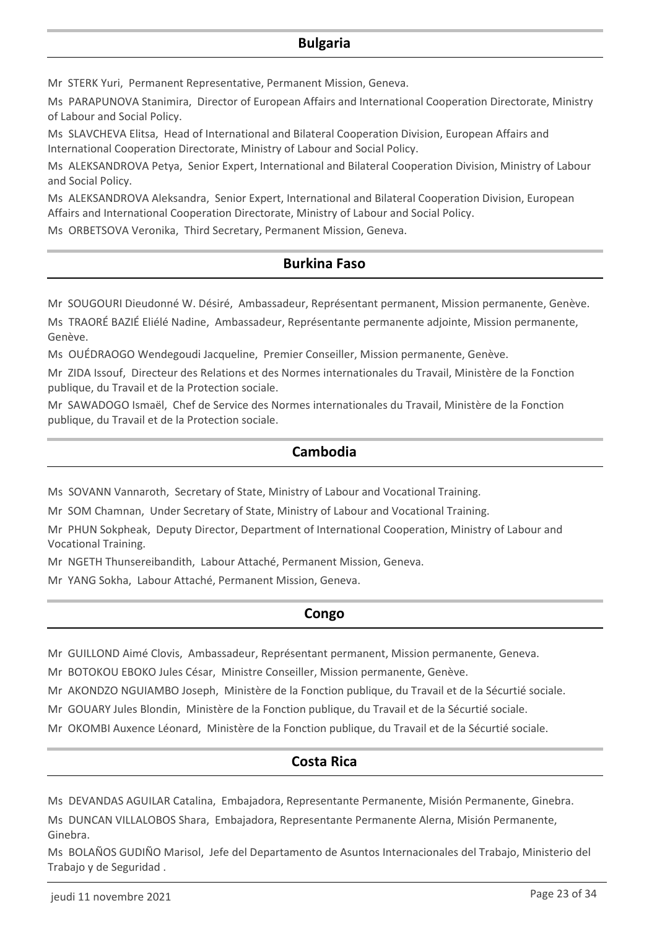### **Bulgaria**

Mr STERK Yuri, Permanent Representative, Permanent Mission, Geneva.

Ms PARAPUNOVA Stanimira, Director of European Affairs and International Cooperation Directorate, Ministry of Labour and Social Policy.

Ms SLAVCHEVA Elitsa, Head of International and Bilateral Cooperation Division, European Affairs and International Cooperation Directorate, Ministry of Labour and Social Policy.

Ms ALEKSANDROVA Petya, Senior Expert, International and Bilateral Cooperation Division, Ministry of Labour and Social Policy.

Ms ALEKSANDROVA Aleksandra, Senior Expert, International and Bilateral Cooperation Division, European Affairs and International Cooperation Directorate, Ministry of Labour and Social Policy.

Ms ORBETSOVA Veronika, Third Secretary, Permanent Mission, Geneva.

### **Burkina Faso**

Mr SOUGOURI Dieudonné W. Désiré, Ambassadeur, Représentant permanent, Mission permanente, Genève.

Ms TRAORÉ BAZIÉ Eliélé Nadine, Ambassadeur, Représentante permanente adjointe, Mission permanente, Genève.

Ms OUÉDRAOGO Wendegoudi Jacqueline, Premier Conseiller, Mission permanente, Genève.

Mr ZIDA Issouf, Directeur des Relations et des Normes internationales du Travail, Ministère de la Fonction publique, du Travail et de la Protection sociale.

Mr SAWADOGO Ismaël, Chef de Service des Normes internationales du Travail, Ministère de la Fonction publique, du Travail et de la Protection sociale.

### **Cambodia**

Ms SOVANN Vannaroth, Secretary of State, Ministry of Labour and Vocational Training.

Mr SOM Chamnan, Under Secretary of State, Ministry of Labour and Vocational Training.

Mr PHUN Sokpheak, Deputy Director, Department of International Cooperation, Ministry of Labour and Vocational Training.

Mr NGETH Thunsereibandith, Labour Attaché, Permanent Mission, Geneva.

Mr YANG Sokha, Labour Attaché, Permanent Mission, Geneva.

### **Congo**

Mr GUILLOND Aimé Clovis, Ambassadeur, Représentant permanent, Mission permanente, Geneva.

Mr BOTOKOU EBOKO Jules César, Ministre Conseiller, Mission permanente, Genève.

Mr AKONDZO NGUIAMBO Joseph, Ministère de la Fonction publique, du Travail et de la Sécurtié sociale.

Mr GOUARY Jules Blondin, Ministère de la Fonction publique, du Travail et de la Sécurtié sociale.

Mr OKOMBI Auxence Léonard, Ministère de la Fonction publique, du Travail et de la Sécurtié sociale.

### **Costa Rica**

Ms DEVANDAS AGUILAR Catalina, Embajadora, Representante Permanente, Misión Permanente, Ginebra.

Ms DUNCAN VILLALOBOS Shara, Embajadora, Representante Permanente Alerna, Misión Permanente, Ginebra.

Ms BOLAÑOS GUDIÑO Marisol, Jefe del Departamento de Asuntos Internacionales del Trabajo, Ministerio del Trabajo y de Seguridad .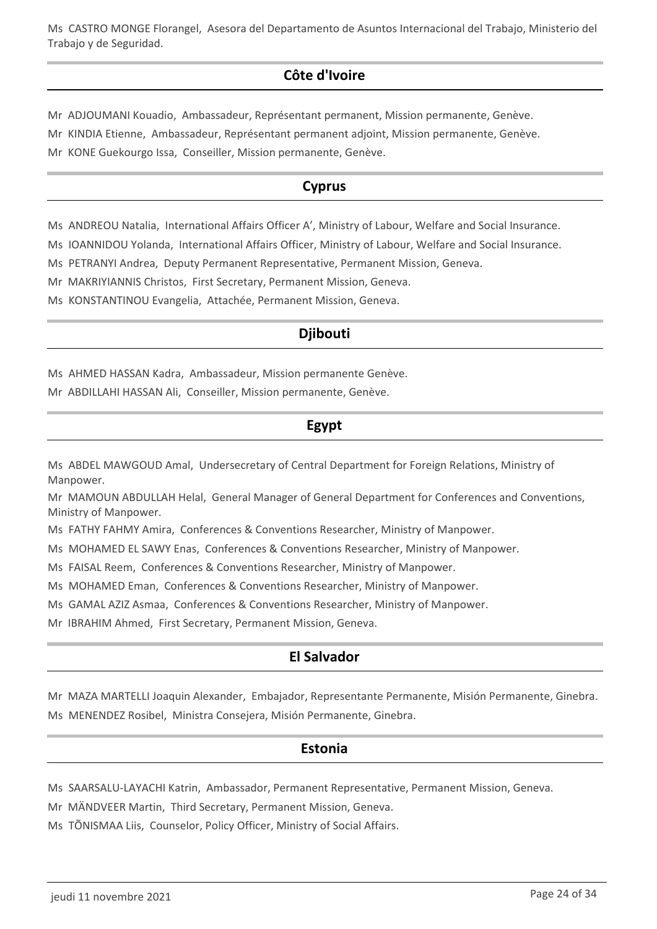Ms CASTRO MONGE Florangel, Asesora del Departamento de Asuntos Internacional del Trabajo, Ministerio del Trabajo y de Seguridad.

# **Côte d'Ivoire**

Mr ADJOUMANI Kouadio, Ambassadeur, Représentant permanent, Mission permanente, Genève.

Mr KINDIA Etienne, Ambassadeur, Représentant permanent adjoint, Mission permanente, Genève.

Mr KONE Guekourgo Issa, Conseiller, Mission permanente, Genève.

# **Cyprus**

Ms ANDREOU Natalia, International Affairs Officer A', Ministry of Labour, Welfare and Social Insurance.

Ms IOANNIDOU Yolanda, International Affairs Officer, Ministry of Labour, Welfare and Social Insurance.

Ms PETRANYI Andrea, Deputy Permanent Representative, Permanent Mission, Geneva.

Mr MAKRIYIANNIS Christos, First Secretary, Permanent Mission, Geneva.

Ms KONSTANTINOU Evangelia, Attachée, Permanent Mission, Geneva.

# **Djibouti**

Ms AHMED HASSAN Kadra, Ambassadeur, Mission permanente Genève.

Mr ABDILLAHI HASSAN Ali, Conseiller, Mission permanente, Genève.

# **Egypt**

Ms ABDEL MAWGOUD Amal, Undersecretary of Central Department for Foreign Relations, Ministry of Manpower.

Mr MAMOUN ABDULLAH Helal, General Manager of General Department for Conferences and Conventions, Ministry of Manpower.

Ms FATHY FAHMY Amira, Conferences & Conventions Researcher, Ministry of Manpower.

Ms MOHAMED EL SAWY Enas, Conferences & Conventions Researcher, Ministry of Manpower.

Ms FAISAL Reem, Conferences & Conventions Researcher, Ministry of Manpower.

Ms MOHAMED Eman, Conferences & Conventions Researcher, Ministry of Manpower.

Ms GAMAL AZIZ Asmaa, Conferences & Conventions Researcher, Ministry of Manpower.

Mr IBRAHIM Ahmed, First Secretary, Permanent Mission, Geneva.

# **El Salvador**

Mr MAZA MARTELLI Joaquin Alexander, Embajador, Representante Permanente, Misión Permanente, Ginebra. Ms MENENDEZ Rosibel, Ministra Consejera, Misión Permanente, Ginebra.

### **Estonia**

Ms SAARSALU-LAYACHI Katrin, Ambassador, Permanent Representative, Permanent Mission, Geneva.

Mr MÄNDVEER Martin, Third Secretary, Permanent Mission, Geneva.

Ms TÕNISMAA Liis, Counselor, Policy Officer, Ministry of Social Affairs.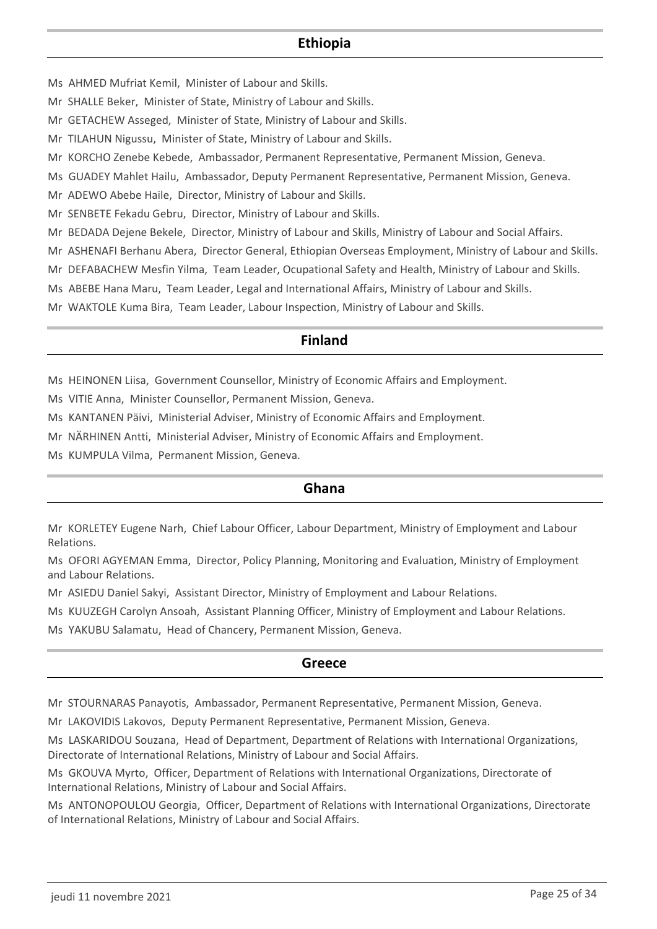### **Ethiopia**

Ms AHMED Mufriat Kemil, Minister of Labour and Skills.

- Mr SHALLE Beker, Minister of State, Ministry of Labour and Skills.
- Mr GETACHEW Asseged, Minister of State, Ministry of Labour and Skills.
- Mr TILAHUN Nigussu, Minister of State, Ministry of Labour and Skills.
- Mr KORCHO Zenebe Kebede, Ambassador, Permanent Representative, Permanent Mission, Geneva.
- Ms GUADEY Mahlet Hailu, Ambassador, Deputy Permanent Representative, Permanent Mission, Geneva.

Mr ADEWO Abebe Haile, Director, Ministry of Labour and Skills.

Mr SENBETE Fekadu Gebru, Director, Ministry of Labour and Skills.

Mr BEDADA Dejene Bekele, Director, Ministry of Labour and Skills, Ministry of Labour and Social Affairs.

Mr ASHENAFI Berhanu Abera, Director General, Ethiopian Overseas Employment, Ministry of Labour and Skills.

Mr DEFABACHEW Mesfin Yilma, Team Leader, Ocupational Safety and Health, Ministry of Labour and Skills.

Ms ABEBE Hana Maru, Team Leader, Legal and International Affairs, Ministry of Labour and Skills.

Mr WAKTOLE Kuma Bira, Team Leader, Labour Inspection, Ministry of Labour and Skills.

### **Finland**

Ms HEINONEN Liisa, Government Counsellor, Ministry of Economic Affairs and Employment.

Ms VITIE Anna, Minister Counsellor, Permanent Mission, Geneva.

Ms KANTANEN Päivi, Ministerial Adviser, Ministry of Economic Affairs and Employment.

Mr NÄRHINEN Antti, Ministerial Adviser, Ministry of Economic Affairs and Employment.

Ms KUMPULA Vilma, Permanent Mission, Geneva.

### **Ghana**

Mr KORLETEY Eugene Narh, Chief Labour Officer, Labour Department, Ministry of Employment and Labour Relations.

Ms OFORI AGYEMAN Emma, Director, Policy Planning, Monitoring and Evaluation, Ministry of Employment and Labour Relations.

Mr ASIEDU Daniel Sakyi, Assistant Director, Ministry of Employment and Labour Relations.

Ms KUUZEGH Carolyn Ansoah, Assistant Planning Officer, Ministry of Employment and Labour Relations.

Ms YAKUBU Salamatu, Head of Chancery, Permanent Mission, Geneva.

# **Greece**

Mr STOURNARAS Panayotis, Ambassador, Permanent Representative, Permanent Mission, Geneva.

Mr LAKOVIDIS Lakovos, Deputy Permanent Representative, Permanent Mission, Geneva.

Ms LASKARIDOU Souzana, Head of Department, Department of Relations with International Organizations, Directorate of International Relations, Ministry of Labour and Social Affairs.

Ms GKOUVA Myrto, Officer, Department of Relations with International Organizations, Directorate of International Relations, Ministry of Labour and Social Affairs.

Ms ANTONOPOULOU Georgia, Officer, Department of Relations with International Organizations, Directorate of International Relations, Ministry of Labour and Social Affairs.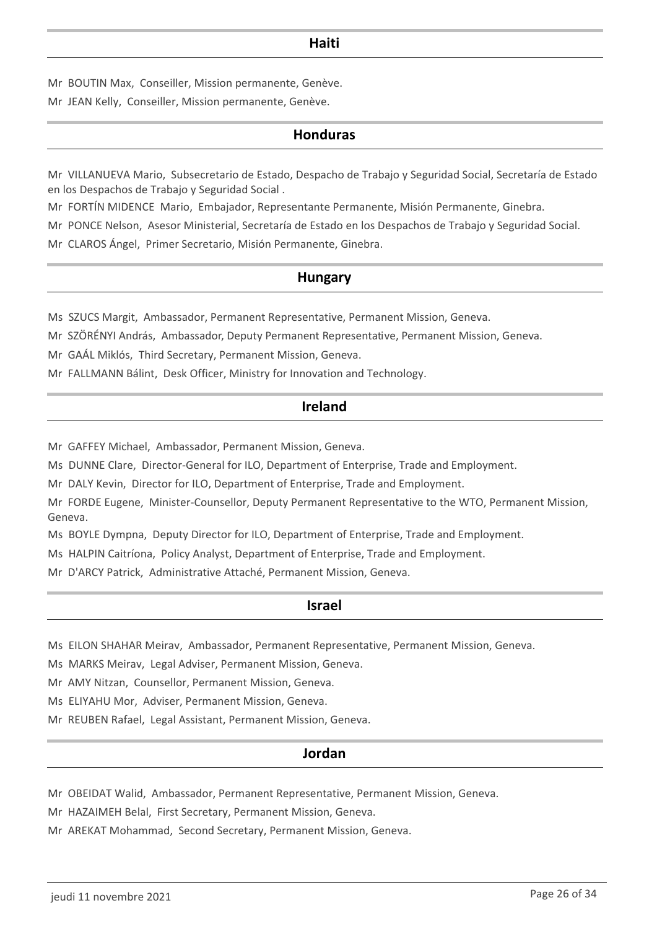### **Haiti**

Mr BOUTIN Max, Conseiller, Mission permanente, Genève. Mr JEAN Kelly, Conseiller, Mission permanente, Genève.

### **Honduras**

Mr VILLANUEVA Mario, Subsecretario de Estado, Despacho de Trabajo y Seguridad Social, Secretaría de Estado en los Despachos de Trabajo y Seguridad Social .

Mr FORTÍN MIDENCE Mario, Embajador, Representante Permanente, Misión Permanente, Ginebra.

Mr PONCE Nelson, Asesor Ministerial, Secretaría de Estado en los Despachos de Trabajo y Seguridad Social.

Mr CLAROS Ángel, Primer Secretario, Misión Permanente, Ginebra.

### **Hungary**

Ms SZUCS Margit, Ambassador, Permanent Representative, Permanent Mission, Geneva.

Mr SZÖRÉNYI András, Ambassador, Deputy Permanent Representative, Permanent Mission, Geneva.

Mr GAÁL Miklós, Third Secretary, Permanent Mission, Geneva.

Mr FALLMANN Bálint, Desk Officer, Ministry for Innovation and Technology.

### **Ireland**

Mr GAFFEY Michael, Ambassador, Permanent Mission, Geneva.

Ms DUNNE Clare, Director-General for ILO, Department of Enterprise, Trade and Employment.

Mr DALY Kevin, Director for ILO, Department of Enterprise, Trade and Employment.

Mr FORDE Eugene, Minister-Counsellor, Deputy Permanent Representative to the WTO, Permanent Mission, Geneva.

Ms BOYLE Dympna, Deputy Director for ILO, Department of Enterprise, Trade and Employment.

Ms HALPIN Caitríona, Policy Analyst, Department of Enterprise, Trade and Employment.

Mr D'ARCY Patrick, Administrative Attaché, Permanent Mission, Geneva.

### **Israel**

Ms EILON SHAHAR Meirav, Ambassador, Permanent Representative, Permanent Mission, Geneva.

Ms MARKS Meirav, Legal Adviser, Permanent Mission, Geneva.

Mr AMY Nitzan, Counsellor, Permanent Mission, Geneva.

Ms ELIYAHU Mor, Adviser, Permanent Mission, Geneva.

Mr REUBEN Rafael, Legal Assistant, Permanent Mission, Geneva.

### **Jordan**

Mr OBEIDAT Walid, Ambassador, Permanent Representative, Permanent Mission, Geneva.

Mr HAZAIMEH Belal, First Secretary, Permanent Mission, Geneva.

Mr AREKAT Mohammad, Second Secretary, Permanent Mission, Geneva.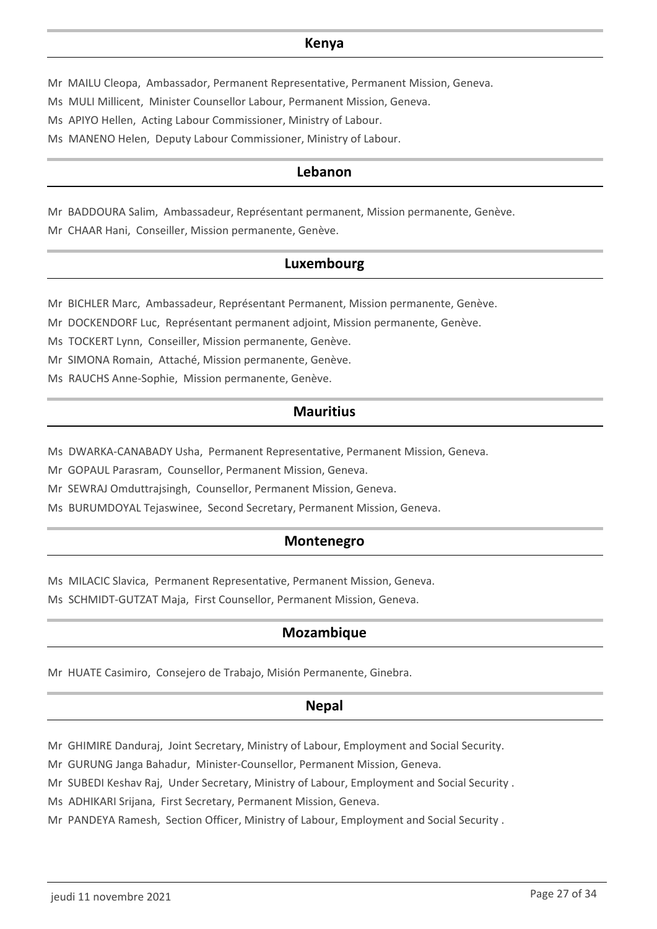### **Kenya**

Mr MAILU Cleopa, Ambassador, Permanent Representative, Permanent Mission, Geneva.

Ms MULI Millicent, Minister Counsellor Labour, Permanent Mission, Geneva.

Ms APIYO Hellen, Acting Labour Commissioner, Ministry of Labour.

Ms MANENO Helen, Deputy Labour Commissioner, Ministry of Labour.

### **Lebanon**

Mr BADDOURA Salim, Ambassadeur, Représentant permanent, Mission permanente, Genève. Mr CHAAR Hani, Conseiller, Mission permanente, Genève.

### **Luxembourg**

Mr BICHLER Marc, Ambassadeur, Représentant Permanent, Mission permanente, Genève.

Mr DOCKENDORF Luc, Représentant permanent adjoint, Mission permanente, Genève.

Ms TOCKERT Lynn, Conseiller, Mission permanente, Genève.

Mr SIMONA Romain, Attaché, Mission permanente, Genève.

Ms RAUCHS Anne-Sophie, Mission permanente, Genève.

### **Mauritius**

Ms DWARKA-CANABADY Usha, Permanent Representative, Permanent Mission, Geneva.

Mr GOPAUL Parasram, Counsellor, Permanent Mission, Geneva.

Mr SEWRAJ Omduttrajsingh, Counsellor, Permanent Mission, Geneva.

Ms BURUMDOYAL Tejaswinee, Second Secretary, Permanent Mission, Geneva.

### **Montenegro**

Ms MILACIC Slavica, Permanent Representative, Permanent Mission, Geneva.

Ms SCHMIDT-GUTZAT Maja, First Counsellor, Permanent Mission, Geneva.

### **Mozambique**

Mr HUATE Casimiro, Consejero de Trabajo, Misión Permanente, Ginebra.

### **Nepal**

Mr GHIMIRE Danduraj, Joint Secretary, Ministry of Labour, Employment and Social Security.

Mr GURUNG Janga Bahadur, Minister-Counsellor, Permanent Mission, Geneva.

Mr SUBEDI Keshav Raj, Under Secretary, Ministry of Labour, Employment and Social Security .

Ms ADHIKARI Srijana, First Secretary, Permanent Mission, Geneva.

Mr PANDEYA Ramesh, Section Officer, Ministry of Labour, Employment and Social Security .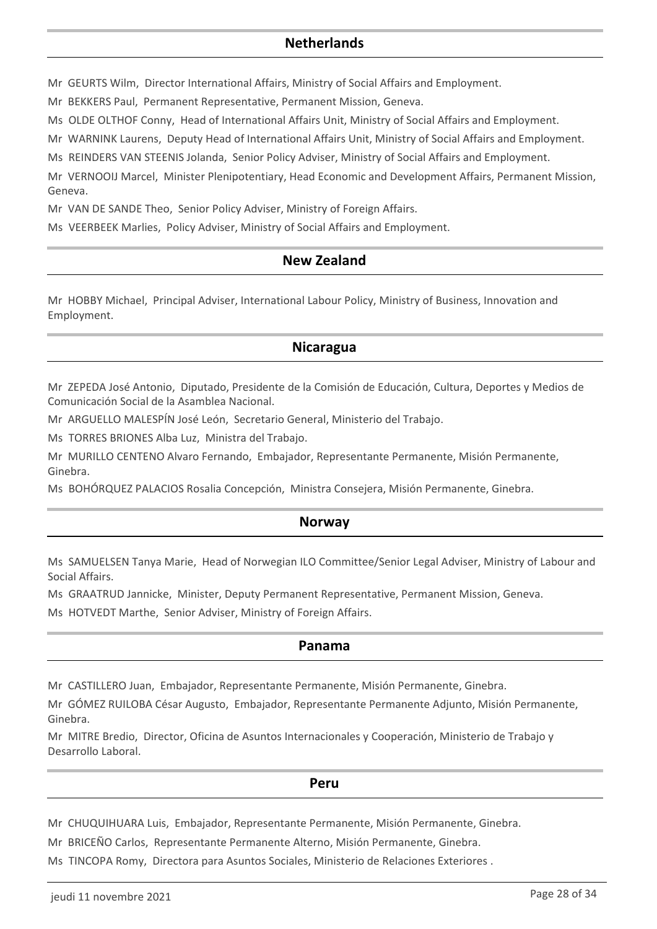### **Netherlands**

Mr GEURTS Wilm, Director International Affairs, Ministry of Social Affairs and Employment.

Mr BEKKERS Paul, Permanent Representative, Permanent Mission, Geneva.

Ms OLDE OLTHOF Conny, Head of International Affairs Unit, Ministry of Social Affairs and Employment.

Mr WARNINK Laurens, Deputy Head of International Affairs Unit, Ministry of Social Affairs and Employment.

Ms REINDERS VAN STEENIS Jolanda, Senior Policy Adviser, Ministry of Social Affairs and Employment.

Mr VERNOOIJ Marcel, Minister Plenipotentiary, Head Economic and Development Affairs, Permanent Mission, Geneva.

Mr VAN DE SANDE Theo, Senior Policy Adviser, Ministry of Foreign Affairs.

Ms VEERBEEK Marlies, Policy Adviser, Ministry of Social Affairs and Employment.

# **New Zealand**

Mr HOBBY Michael, Principal Adviser, International Labour Policy, Ministry of Business, Innovation and Employment.

### **Nicaragua**

Mr ZEPEDA José Antonio, Diputado, Presidente de la Comisión de Educación, Cultura, Deportes y Medios de Comunicación Social de la Asamblea Nacional.

Mr ARGUELLO MALESPÍN José León, Secretario General, Ministerio del Trabajo.

Ms TORRES BRIONES Alba Luz, Ministra del Trabajo.

Mr MURILLO CENTENO Alvaro Fernando, Embajador, Representante Permanente, Misión Permanente, Ginebra.

Ms BOHÓRQUEZ PALACIOS Rosalia Concepción, Ministra Consejera, Misión Permanente, Ginebra.

### **Norway**

Ms SAMUELSEN Tanya Marie, Head of Norwegian ILO Committee/Senior Legal Adviser, Ministry of Labour and Social Affairs.

Ms GRAATRUD Jannicke, Minister, Deputy Permanent Representative, Permanent Mission, Geneva.

Ms HOTVEDT Marthe, Senior Adviser, Ministry of Foreign Affairs.

### **Panama**

Mr CASTILLERO Juan, Embajador, Representante Permanente, Misión Permanente, Ginebra.

Mr GÓMEZ RUILOBA César Augusto, Embajador, Representante Permanente Adjunto, Misión Permanente, Ginebra.

Mr MITRE Bredio, Director, Oficina de Asuntos Internacionales y Cooperación, Ministerio de Trabajo y Desarrollo Laboral.

#### **Peru**

Mr CHUQUIHUARA Luis, Embajador, Representante Permanente, Misión Permanente, Ginebra.

Mr BRICEÑO Carlos, Representante Permanente Alterno, Misión Permanente, Ginebra.

Ms TINCOPA Romy, Directora para Asuntos Sociales, Ministerio de Relaciones Exteriores .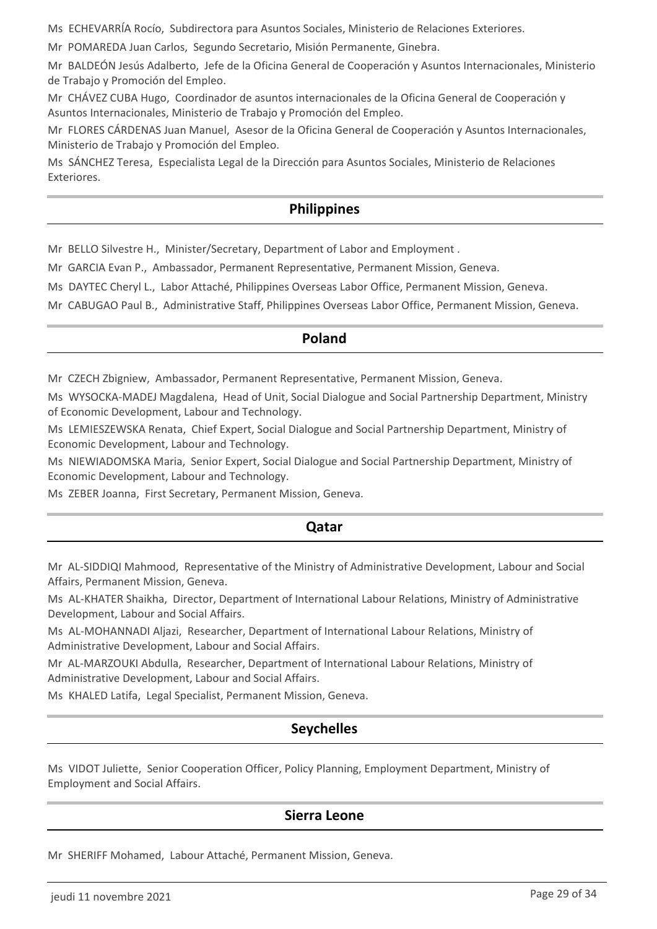Ms ECHEVARRÍA Rocío, Subdirectora para Asuntos Sociales, Ministerio de Relaciones Exteriores.

Mr POMAREDA Juan Carlos, Segundo Secretario, Misión Permanente, Ginebra.

Mr BALDEÓN Jesús Adalberto, Jefe de la Oficina General de Cooperación y Asuntos Internacionales, Ministerio de Trabajo y Promoción del Empleo.

Mr CHÁVEZ CUBA Hugo, Coordinador de asuntos internacionales de la Oficina General de Cooperación y Asuntos Internacionales, Ministerio de Trabajo y Promoción del Empleo.

Mr FLORES CÁRDENAS Juan Manuel, Asesor de la Oficina General de Cooperación y Asuntos Internacionales, Ministerio de Trabajo y Promoción del Empleo.

Ms SÁNCHEZ Teresa, Especialista Legal de la Dirección para Asuntos Sociales, Ministerio de Relaciones Exteriores.

### **Philippines**

Mr BELLO Silvestre H., Minister/Secretary, Department of Labor and Employment .

Mr GARCIA Evan P., Ambassador, Permanent Representative, Permanent Mission, Geneva.

Ms DAYTEC Cheryl L., Labor Attaché, Philippines Overseas Labor Office, Permanent Mission, Geneva.

Mr CABUGAO Paul B., Administrative Staff, Philippines Overseas Labor Office, Permanent Mission, Geneva.

### **Poland**

Mr CZECH Zbigniew, Ambassador, Permanent Representative, Permanent Mission, Geneva.

Ms WYSOCKA-MADEJ Magdalena, Head of Unit, Social Dialogue and Social Partnership Department, Ministry of Economic Development, Labour and Technology.

Ms LEMIESZEWSKA Renata, Chief Expert, Social Dialogue and Social Partnership Department, Ministry of Economic Development, Labour and Technology.

Ms NIEWIADOMSKA Maria, Senior Expert, Social Dialogue and Social Partnership Department, Ministry of Economic Development, Labour and Technology.

Ms ZEBER Joanna, First Secretary, Permanent Mission, Geneva.

### **Qatar**

Mr AL-SIDDIQI Mahmood, Representative of the Ministry of Administrative Development, Labour and Social Affairs, Permanent Mission, Geneva.

Ms AL-KHATER Shaikha, Director, Department of International Labour Relations, Ministry of Administrative Development, Labour and Social Affairs.

Ms AL-MOHANNADI Aljazi, Researcher, Department of International Labour Relations, Ministry of Administrative Development, Labour and Social Affairs.

Mr AL-MARZOUKI Abdulla, Researcher, Department of International Labour Relations, Ministry of Administrative Development, Labour and Social Affairs.

Ms KHALED Latifa, Legal Specialist, Permanent Mission, Geneva.

# **Seychelles**

Ms VIDOT Juliette, Senior Cooperation Officer, Policy Planning, Employment Department, Ministry of Employment and Social Affairs.

### **Sierra Leone**

Mr SHERIFF Mohamed, Labour Attaché, Permanent Mission, Geneva.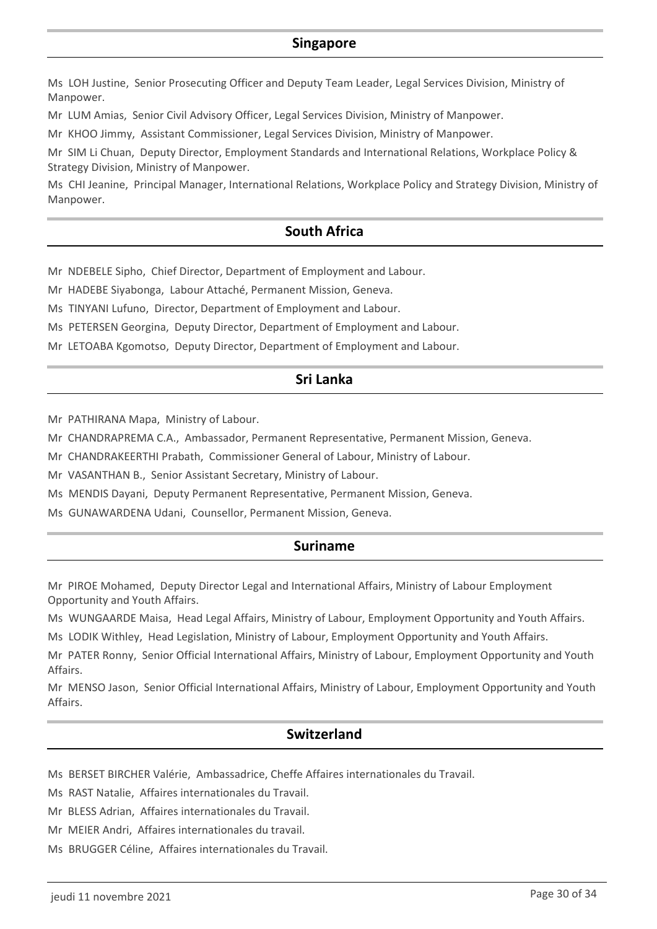### **Singapore**

Ms LOH Justine, Senior Prosecuting Officer and Deputy Team Leader, Legal Services Division, Ministry of Manpower.

Mr LUM Amias, Senior Civil Advisory Officer, Legal Services Division, Ministry of Manpower.

Mr KHOO Jimmy, Assistant Commissioner, Legal Services Division, Ministry of Manpower.

Mr SIM Li Chuan, Deputy Director, Employment Standards and International Relations, Workplace Policy & Strategy Division, Ministry of Manpower.

Ms CHI Jeanine, Principal Manager, International Relations, Workplace Policy and Strategy Division, Ministry of Manpower.

### **South Africa**

Mr NDEBELE Sipho, Chief Director, Department of Employment and Labour.

Mr HADEBE Siyabonga, Labour Attaché, Permanent Mission, Geneva.

Ms TINYANI Lufuno, Director, Department of Employment and Labour.

Ms PETERSEN Georgina, Deputy Director, Department of Employment and Labour.

Mr LETOABA Kgomotso, Deputy Director, Department of Employment and Labour.

### **Sri Lanka**

Mr PATHIRANA Mapa, Ministry of Labour.

Mr CHANDRAPREMA C.A., Ambassador, Permanent Representative, Permanent Mission, Geneva.

Mr CHANDRAKEERTHI Prabath, Commissioner General of Labour, Ministry of Labour.

Mr VASANTHAN B., Senior Assistant Secretary, Ministry of Labour.

Ms MENDIS Dayani, Deputy Permanent Representative, Permanent Mission, Geneva.

Ms GUNAWARDENA Udani, Counsellor, Permanent Mission, Geneva.

### **Suriname**

Mr PIROE Mohamed, Deputy Director Legal and International Affairs, Ministry of Labour Employment Opportunity and Youth Affairs.

Ms WUNGAARDE Maisa, Head Legal Affairs, Ministry of Labour, Employment Opportunity and Youth Affairs.

Ms LODIK Withley, Head Legislation, Ministry of Labour, Employment Opportunity and Youth Affairs.

Mr PATER Ronny, Senior Official International Affairs, Ministry of Labour, Employment Opportunity and Youth Affairs.

Mr MENSO Jason, Senior Official International Affairs, Ministry of Labour, Employment Opportunity and Youth Affairs.

# **Switzerland**

Ms BERSET BIRCHER Valérie, Ambassadrice, Cheffe Affaires internationales du Travail.

Ms RAST Natalie, Affaires internationales du Travail.

Mr BLESS Adrian, Affaires internationales du Travail.

Mr MEIER Andri, Affaires internationales du travail.

Ms BRUGGER Céline, Affaires internationales du Travail.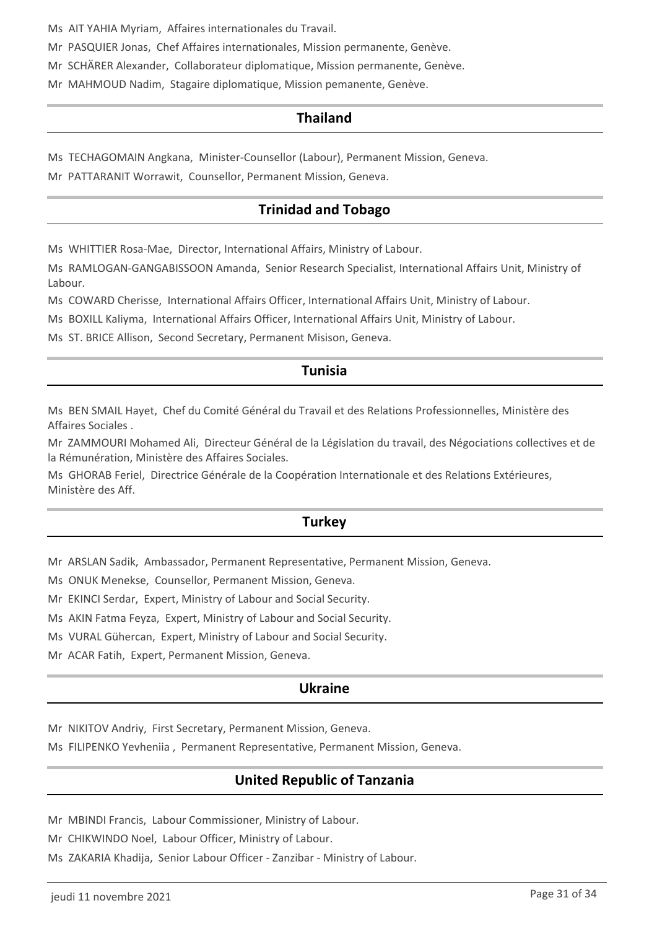Ms AIT YAHIA Myriam, Affaires internationales du Travail.

Mr PASQUIER Jonas, Chef Affaires internationales, Mission permanente, Genève.

Mr SCHÄRER Alexander, Collaborateur diplomatique, Mission permanente, Genève.

Mr MAHMOUD Nadim, Stagaire diplomatique, Mission pemanente, Genève.

### **Thailand**

Ms TECHAGOMAIN Angkana, Minister-Counsellor (Labour), Permanent Mission, Geneva.

Mr PATTARANIT Worrawit, Counsellor, Permanent Mission, Geneva.

# **Trinidad and Tobago**

Ms WHITTIER Rosa-Mae, Director, International Affairs, Ministry of Labour.

Ms RAMLOGAN-GANGABISSOON Amanda, Senior Research Specialist, International Affairs Unit, Ministry of Labour.

Ms COWARD Cherisse, International Affairs Officer, International Affairs Unit, Ministry of Labour.

Ms BOXILL Kaliyma, International Affairs Officer, International Affairs Unit, Ministry of Labour.

Ms ST. BRICE Allison, Second Secretary, Permanent Misison, Geneva.

# **Tunisia**

Ms BEN SMAIL Hayet, Chef du Comité Général du Travail et des Relations Professionnelles, Ministère des Affaires Sociales .

Mr ZAMMOURI Mohamed Ali, Directeur Général de la Législation du travail, des Négociations collectives et de la Rémunération, Ministère des Affaires Sociales.

Ms GHORAB Feriel, Directrice Générale de la Coopération Internationale et des Relations Extérieures, Ministère des Aff.

# **Turkey**

Mr ARSLAN Sadik, Ambassador, Permanent Representative, Permanent Mission, Geneva.

Ms ONUK Menekse, Counsellor, Permanent Mission, Geneva.

Mr EKINCI Serdar, Expert, Ministry of Labour and Social Security.

Ms AKIN Fatma Feyza, Expert, Ministry of Labour and Social Security.

Ms VURAL Gühercan, Expert, Ministry of Labour and Social Security.

Mr ACAR Fatih, Expert, Permanent Mission, Geneva.

### **Ukraine**

Mr NIKITOV Andriy, First Secretary, Permanent Mission, Geneva.

Ms FILIPENKO Yevheniia , Permanent Representative, Permanent Mission, Geneva.

# **United Republic of Tanzania**

Mr MBINDI Francis, Labour Commissioner, Ministry of Labour.

Mr CHIKWINDO Noel, Labour Officer, Ministry of Labour.

Ms ZAKARIA Khadija, Senior Labour Officer - Zanzibar - Ministry of Labour.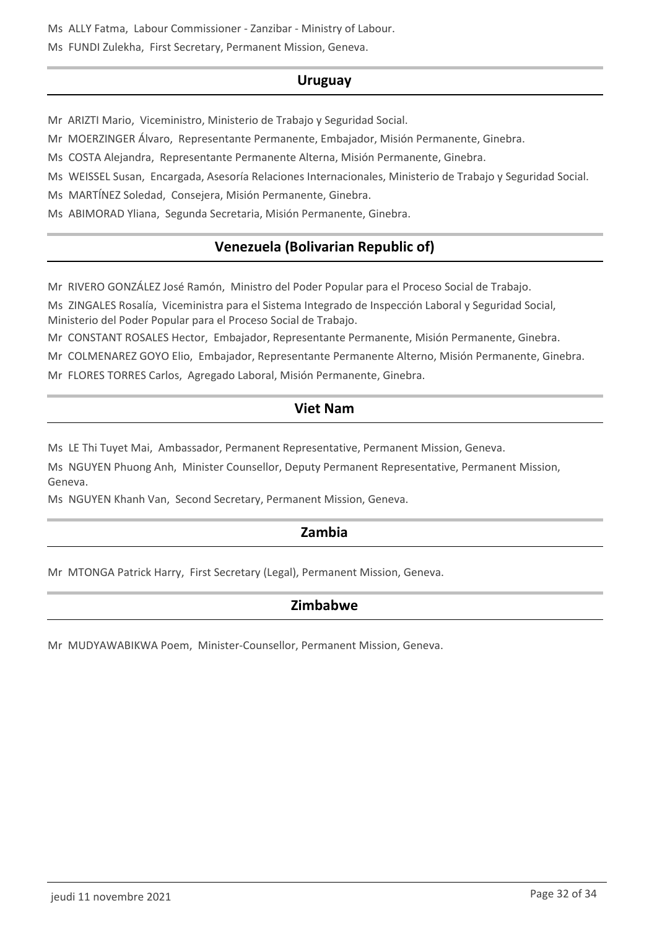Ms ALLY Fatma, Labour Commissioner - Zanzibar - Ministry of Labour.

Ms FUNDI Zulekha, First Secretary, Permanent Mission, Geneva.

# **Uruguay**

Mr ARIZTI Mario, Viceministro, Ministerio de Trabajo y Seguridad Social.

Mr MOERZINGER Álvaro, Representante Permanente, Embajador, Misión Permanente, Ginebra.

Ms COSTA Alejandra, Representante Permanente Alterna, Misión Permanente, Ginebra.

Ms WEISSEL Susan, Encargada, Asesoría Relaciones Internacionales, Ministerio de Trabajo y Seguridad Social.

Ms MARTÍNEZ Soledad, Consejera, Misión Permanente, Ginebra.

Ms ABIMORAD Yliana, Segunda Secretaria, Misión Permanente, Ginebra.

# **Venezuela (Bolivarian Republic of)**

Mr RIVERO GONZÁLEZ José Ramón, Ministro del Poder Popular para el Proceso Social de Trabajo.

Ms ZINGALES Rosalía, Viceministra para el Sistema Integrado de Inspección Laboral y Seguridad Social, Ministerio del Poder Popular para el Proceso Social de Trabajo.

Mr CONSTANT ROSALES Hector, Embajador, Representante Permanente, Misión Permanente, Ginebra.

Mr COLMENAREZ GOYO Elio, Embajador, Representante Permanente Alterno, Misión Permanente, Ginebra.

Mr FLORES TORRES Carlos, Agregado Laboral, Misión Permanente, Ginebra.

# **Viet Nam**

Ms LE Thi Tuyet Mai, Ambassador, Permanent Representative, Permanent Mission, Geneva.

Ms NGUYEN Phuong Anh, Minister Counsellor, Deputy Permanent Representative, Permanent Mission, Geneva.

Ms NGUYEN Khanh Van, Second Secretary, Permanent Mission, Geneva.

# **Zambia**

Mr MTONGA Patrick Harry, First Secretary (Legal), Permanent Mission, Geneva.

# **Zimbabwe**

Mr MUDYAWABIKWA Poem, Minister-Counsellor, Permanent Mission, Geneva.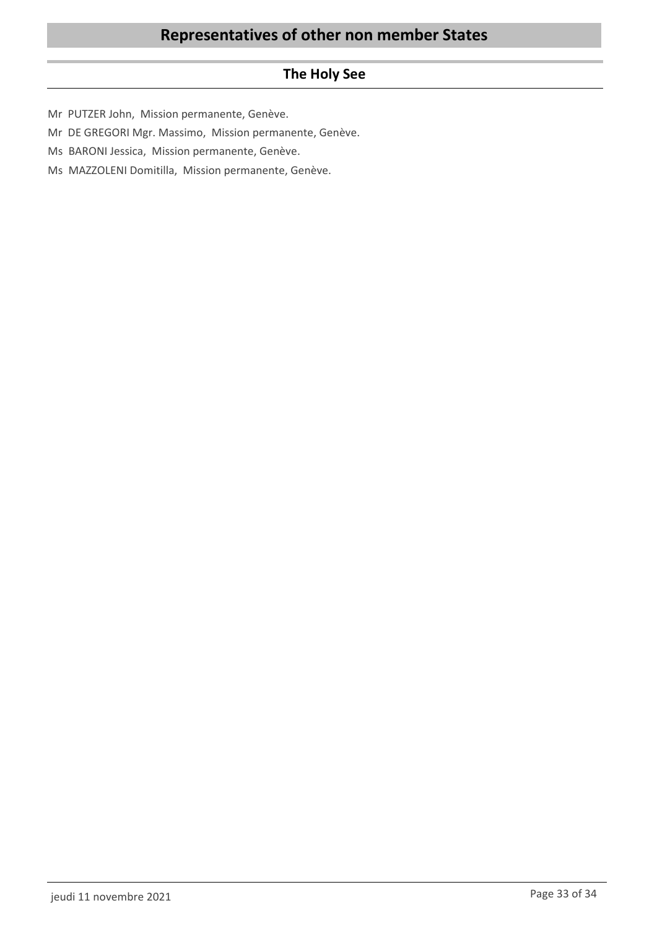# **The Holy See**

- Mr PUTZER John, Mission permanente, Genève.
- Mr DE GREGORI Mgr. Massimo, Mission permanente, Genève.
- Ms BARONI Jessica, Mission permanente, Genève.
- Ms MAZZOLENI Domitilla, Mission permanente, Genève.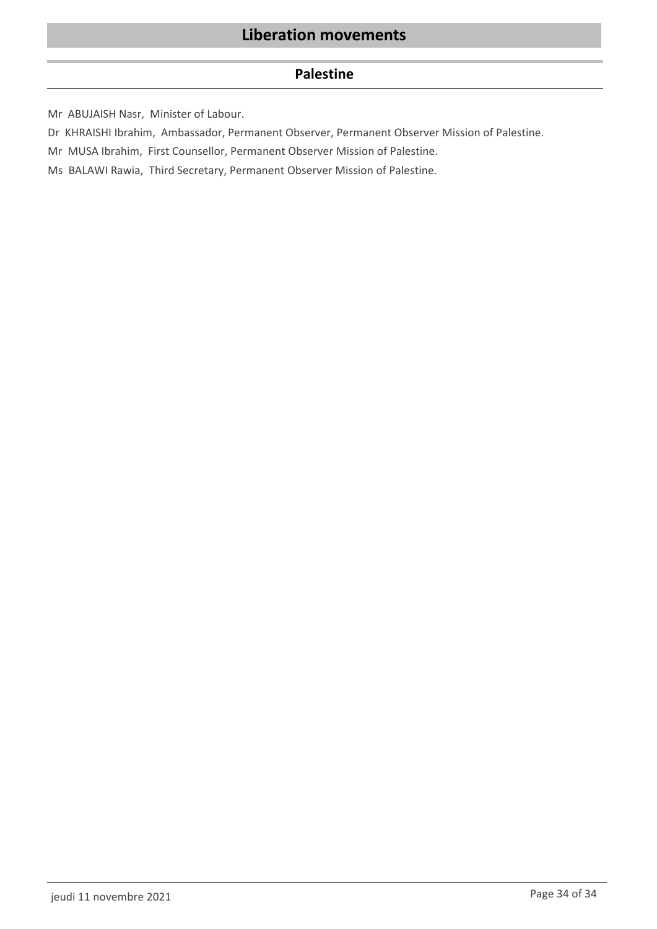### **Palestine**

Mr ABUJAISH Nasr, Minister of Labour.

Dr KHRAISHI Ibrahim, Ambassador, Permanent Observer, Permanent Observer Mission of Palestine.

Mr MUSA Ibrahim, First Counsellor, Permanent Observer Mission of Palestine.

Ms BALAWI Rawia, Third Secretary, Permanent Observer Mission of Palestine.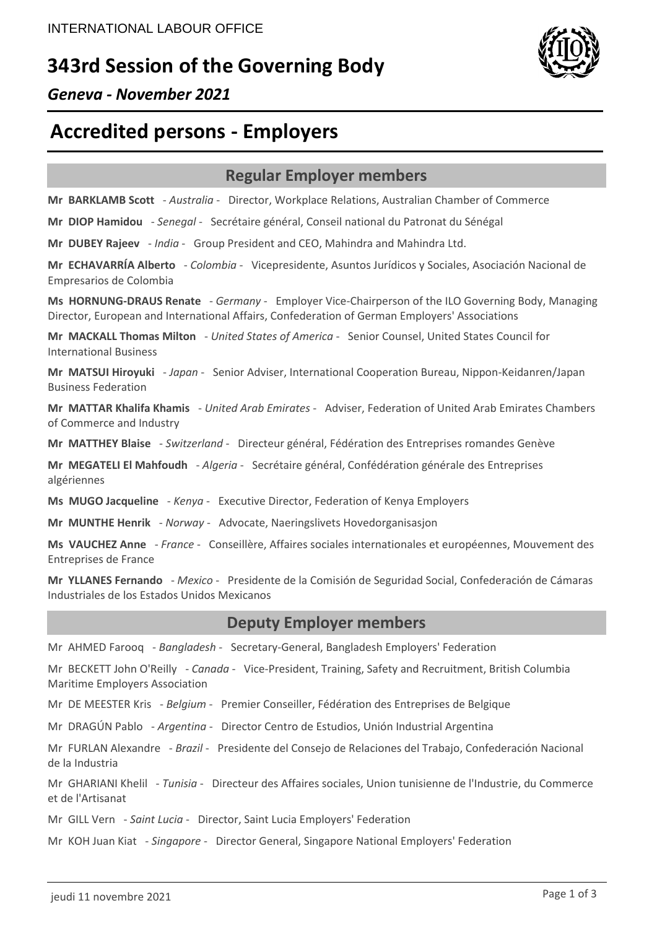# **343rd Session of the Governing Body**



# *Geneva - November 2021*

# **Accredited persons - Employers**

# **Regular Employer members**

**Mr BARKLAMB Scott** - *Australia* - Director, Workplace Relations, Australian Chamber of Commerce

**Mr DIOP Hamidou** - *Senegal* - Secrétaire général, Conseil national du Patronat du Sénégal

**Mr DUBEY Rajeev** - *India* - Group President and CEO, Mahindra and Mahindra Ltd.

**Mr ECHAVARRÍA Alberto** - *Colombia* - Vicepresidente, Asuntos Jurídicos y Sociales, Asociación Nacional de Empresarios de Colombia

**Ms HORNUNG-DRAUS Renate** - *Germany* - Employer Vice-Chairperson of the ILO Governing Body, Managing Director, European and International Affairs, Confederation of German Employers' Associations

**Mr MACKALL Thomas Milton** - *United States of America* - Senior Counsel, United States Council for International Business

**Mr MATSUI Hiroyuki** - *Japan* - Senior Adviser, International Cooperation Bureau, Nippon-Keidanren/Japan Business Federation

**Mr MATTAR Khalifa Khamis** - *United Arab Emirates* - Adviser, Federation of United Arab Emirates Chambers of Commerce and Industry

**Mr MATTHEY Blaise** - *Switzerland* - Directeur général, Fédération des Entreprises romandes Genève

**Mr MEGATELI El Mahfoudh** - *Algeria* - Secrétaire général, Confédération générale des Entreprises algériennes

**Ms MUGO Jacqueline** - *Kenya* - Executive Director, Federation of Kenya Employers

**Mr MUNTHE Henrik** - *Norway* - Advocate, Naeringslivets Hovedorganisasjon

**Ms VAUCHEZ Anne** - *France* - Conseillère, Affaires sociales internationales et européennes, Mouvement des Entreprises de France

**Mr YLLANES Fernando** - *Mexico* - Presidente de la Comisión de Seguridad Social, Confederación de Cámaras Industriales de los Estados Unidos Mexicanos

### **Deputy Employer members**

Mr AHMED Farooq - *Bangladesh* - Secretary-General, Bangladesh Employers' Federation

Mr BECKETT John O'Reilly - *Canada* - Vice-President, Training, Safety and Recruitment, British Columbia Maritime Employers Association

Mr DE MEESTER Kris - *Belgium* - Premier Conseiller, Fédération des Entreprises de Belgique

Mr DRAGÚN Pablo - *Argentina* - Director Centro de Estudios, Unión Industrial Argentina

Mr FURLAN Alexandre - *Brazil* - Presidente del Consejo de Relaciones del Trabajo, Confederación Nacional de la Industria

Mr GHARIANI Khelil - *Tunisia* - Directeur des Affaires sociales, Union tunisienne de l'Industrie, du Commerce et de l'Artisanat

Mr GILL Vern - *Saint Lucia* - Director, Saint Lucia Employers' Federation

Mr KOH Juan Kiat - *Singapore* - Director General, Singapore National Employers' Federation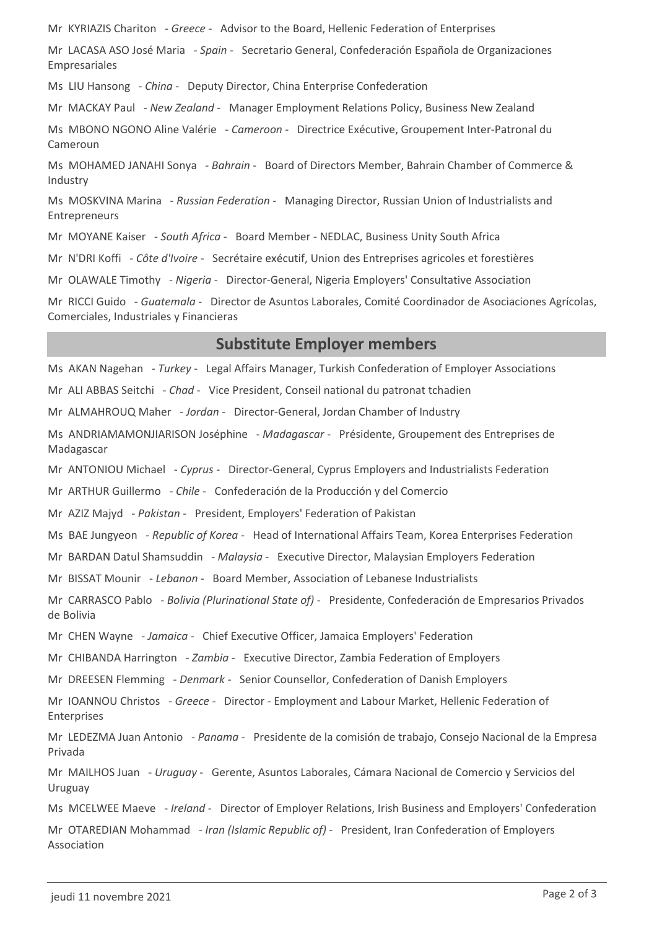Mr KYRIAZIS Chariton - *Greece* - Advisor to the Board, Hellenic Federation of Enterprises

Mr LACASA ASO José Maria - *Spain* - Secretario General, Confederación Española de Organizaciones Empresariales

Ms LIU Hansong - *China* - Deputy Director, China Enterprise Confederation

Mr MACKAY Paul - *New Zealand* - Manager Employment Relations Policy, Business New Zealand

Ms MBONO NGONO Aline Valérie - *Cameroon* - Directrice Exécutive, Groupement Inter-Patronal du Cameroun

Ms MOHAMED JANAHI Sonya - *Bahrain* - Board of Directors Member, Bahrain Chamber of Commerce & Industry

Ms MOSKVINA Marina - *Russian Federation* - Managing Director, Russian Union of Industrialists and Entrepreneurs

Mr MOYANE Kaiser - *South Africa* - Board Member - NEDLAC, Business Unity South Africa

Mr N'DRI Koffi - *Côte d'Ivoire* - Secrétaire exécutif, Union des Entreprises agricoles et forestières

Mr OLAWALE Timothy - *Nigeria* - Director-General, Nigeria Employers' Consultative Association

Mr RICCI Guido - *Guatemala* - Director de Asuntos Laborales, Comité Coordinador de Asociaciones Agrícolas, Comerciales, Industriales y Financieras

### **Substitute Employer members**

Ms AKAN Nagehan - *Turkey* - Legal Affairs Manager, Turkish Confederation of Employer Associations Mr ALI ABBAS Seitchi - *Chad* - Vice President, Conseil national du patronat tchadien Mr ALMAHROUQ Maher - *Jordan* - Director-General, Jordan Chamber of Industry Ms ANDRIAMAMONJIARISON Joséphine - *Madagascar* - Présidente, Groupement des Entreprises de Madagascar Mr ANTONIOU Michael - *Cyprus* - Director-General, Cyprus Employers and Industrialists Federation Mr ARTHUR Guillermo - *Chile* - Confederación de la Producción y del Comercio Mr AZIZ Majyd - *Pakistan* - President, Employers' Federation of Pakistan Ms BAE Jungyeon - *Republic of Korea* - Head of International Affairs Team, Korea Enterprises Federation Mr BARDAN Datul Shamsuddin - *Malaysia* - Executive Director, Malaysian Employers Federation Mr BISSAT Mounir - *Lebanon* - Board Member, Association of Lebanese Industrialists Mr CARRASCO Pablo - *Bolivia (Plurinational State of)* - Presidente, Confederación de Empresarios Privados de Bolivia Mr CHEN Wayne - *Jamaica* - Chief Executive Officer, Jamaica Employers' Federation Mr CHIBANDA Harrington - *Zambia* - Executive Director, Zambia Federation of Employers Mr DREESEN Flemming - *Denmark* - Senior Counsellor, Confederation of Danish Employers Mr IOANNOU Christos - *Greece* - Director - Employment and Labour Market, Hellenic Federation of Enterprises Mr LEDEZMA Juan Antonio - *Panama* - Presidente de la comisión de trabajo, Consejo Nacional de la Empresa Privada Mr MAILHOS Juan - *Uruguay* - Gerente, Asuntos Laborales, Cámara Nacional de Comercio y Servicios del Uruguay Ms MCELWEE Maeve - *Ireland* - Director of Employer Relations, Irish Business and Employers' Confederation Mr OTAREDIAN Mohammad - *Iran (Islamic Republic of)* - President, Iran Confederation of Employers Association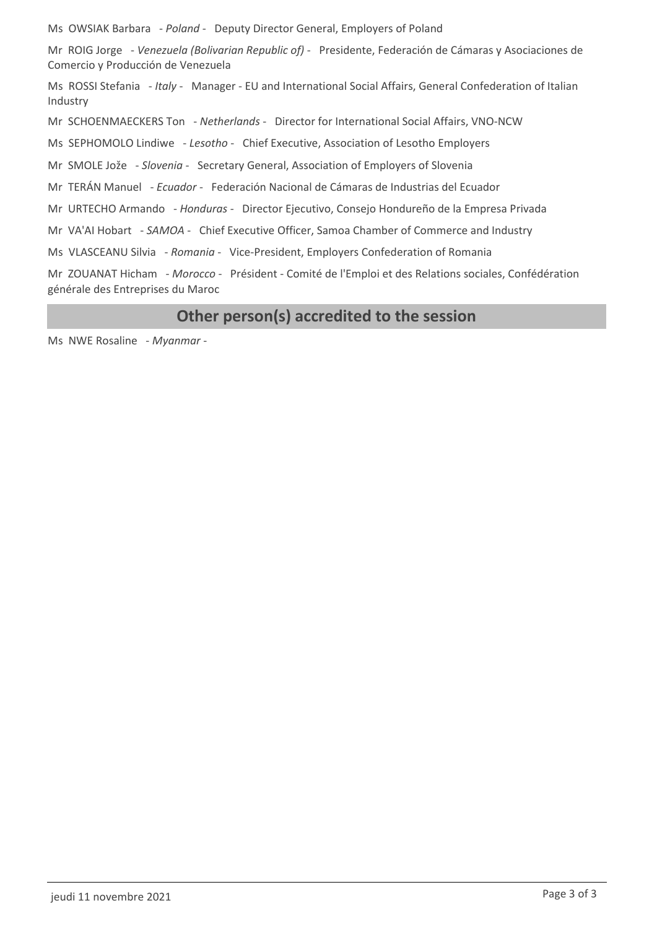Ms OWSIAK Barbara - *Poland* - Deputy Director General, Employers of Poland

Mr ROIG Jorge - *Venezuela (Bolivarian Republic of)* - Presidente, Federación de Cámaras y Asociaciones de Comercio y Producción de Venezuela

Ms ROSSI Stefania - *Italy* - Manager - EU and International Social Affairs, General Confederation of Italian Industry

Mr SCHOENMAECKERS Ton - *Netherlands* - Director for International Social Affairs, VNO-NCW

Ms SEPHOMOLO Lindiwe - *Lesotho* - Chief Executive, Association of Lesotho Employers

Mr SMOLE Jože - *Slovenia* - Secretary General, Association of Employers of Slovenia

Mr TERÁN Manuel - *Ecuador* - Federación Nacional de Cámaras de Industrias del Ecuador

Mr URTECHO Armando - *Honduras* - Director Ejecutivo, Consejo Hondureño de la Empresa Privada

Mr VA'AI Hobart - *SAMOA* - Chief Executive Officer, Samoa Chamber of Commerce and Industry

Ms VLASCEANU Silvia - *Romania* - Vice-President, Employers Confederation of Romania

Mr ZOUANAT Hicham - *Morocco* - Président - Comité de l'Emploi et des Relations sociales, Confédération générale des Entreprises du Maroc

# **Other person(s) accredited to the session**

Ms NWE Rosaline - *Myanmar* -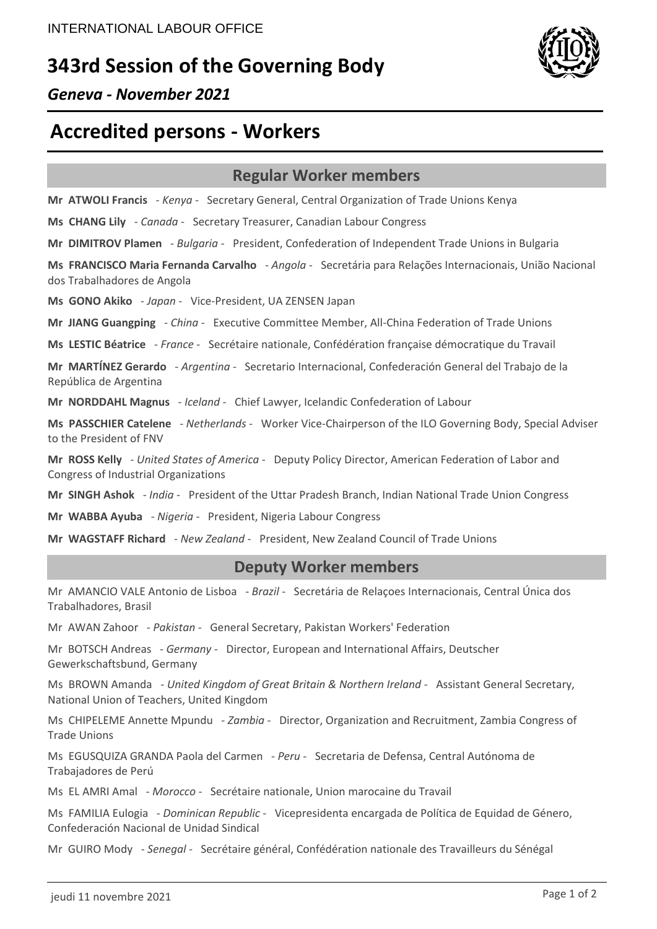# **343rd Session of the Governing Body**



# *Geneva - November 2021*

# **Accredited persons - Workers**

# **Regular Worker members**

**Mr ATWOLI Francis** - *Kenya* - Secretary General, Central Organization of Trade Unions Kenya

**Ms CHANG Lily** - *Canada* - Secretary Treasurer, Canadian Labour Congress

**Mr DIMITROV Plamen** - *Bulgaria* - President, Confederation of Independent Trade Unions in Bulgaria

**Ms FRANCISCO Maria Fernanda Carvalho** - *Angola* - Secretária para Relações Internacionais, União Nacional dos Trabalhadores de Angola

**Ms GONO Akiko** - *Japan* - Vice-President, UA ZENSEN Japan

**Mr JIANG Guangping** - *China* - Executive Committee Member, All-China Federation of Trade Unions

**Ms LESTIC Béatrice** - *France* - Secrétaire nationale, Confédération française démocratique du Travail

**Mr MARTÍNEZ Gerardo** - *Argentina* - Secretario Internacional, Confederación General del Trabajo de la República de Argentina

**Mr NORDDAHL Magnus** - *Iceland* - Chief Lawyer, Icelandic Confederation of Labour

**Ms PASSCHIER Catelene** - *Netherlands* - Worker Vice-Chairperson of the ILO Governing Body, Special Adviser to the President of FNV

**Mr ROSS Kelly** - *United States of America* - Deputy Policy Director, American Federation of Labor and Congress of Industrial Organizations

**Mr SINGH Ashok** - *India* - President of the Uttar Pradesh Branch, Indian National Trade Union Congress

**Mr WABBA Ayuba** - *Nigeria* - President, Nigeria Labour Congress

**Mr WAGSTAFF Richard** - *New Zealand* - President, New Zealand Council of Trade Unions

# **Deputy Worker members**

Mr AMANCIO VALE Antonio de Lisboa - *Brazil* - Secretária de Relaçoes Internacionais, Central Única dos Trabalhadores, Brasil

Mr AWAN Zahoor - *Pakistan* - General Secretary, Pakistan Workers' Federation

Mr BOTSCH Andreas - *Germany* - Director, European and International Affairs, Deutscher Gewerkschaftsbund, Germany

Ms BROWN Amanda - *United Kingdom of Great Britain & Northern Ireland* - Assistant General Secretary, National Union of Teachers, United Kingdom

Ms CHIPELEME Annette Mpundu - *Zambia* - Director, Organization and Recruitment, Zambia Congress of Trade Unions

Ms EGUSQUIZA GRANDA Paola del Carmen - *Peru* - Secretaria de Defensa, Central Autónoma de Trabajadores de Perú

Ms EL AMRI Amal - *Morocco* - Secrétaire nationale, Union marocaine du Travail

Ms FAMILIA Eulogia - *Dominican Republic* - Vicepresidenta encargada de Política de Equidad de Género, Confederación Nacional de Unidad Sindical

Mr GUIRO Mody - *Senegal* - Secrétaire général, Confédération nationale des Travailleurs du Sénégal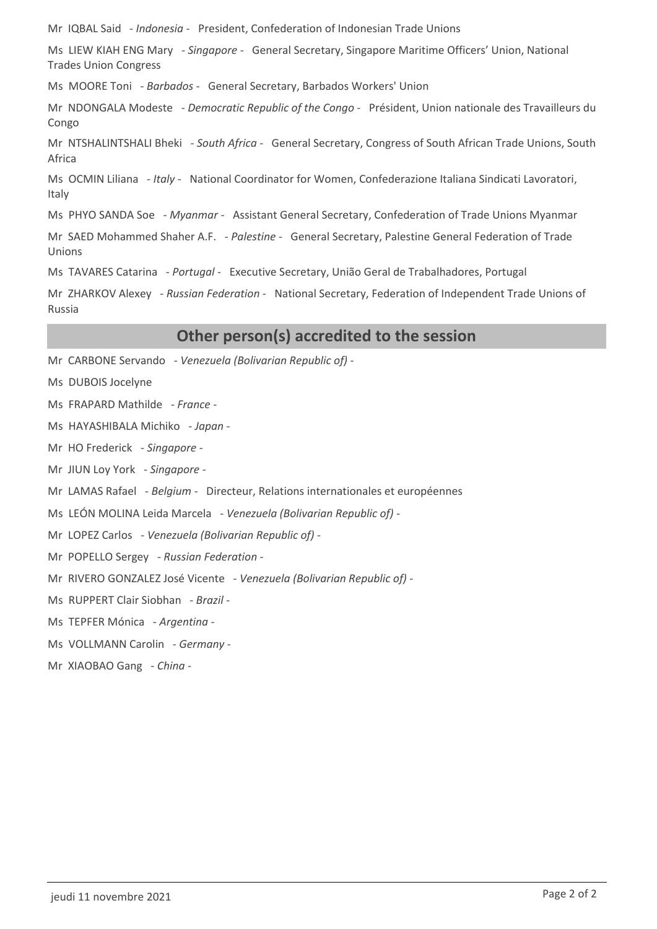Mr IQBAL Said - *Indonesia* - President, Confederation of Indonesian Trade Unions

Ms LIEW KIAH ENG Mary - *Singapore* - General Secretary, Singapore Maritime Officers' Union, National Trades Union Congress

Ms MOORE Toni - *Barbados* - General Secretary, Barbados Workers' Union

Mr NDONGALA Modeste - *Democratic Republic of the Congo* - Président, Union nationale des Travailleurs du Congo

Mr NTSHALINTSHALI Bheki - *South Africa* - General Secretary, Congress of South African Trade Unions, South Africa

Ms OCMIN Liliana - *Italy* - National Coordinator for Women, Confederazione Italiana Sindicati Lavoratori, Italy

Ms PHYO SANDA Soe - *Myanmar* - Assistant General Secretary, Confederation of Trade Unions Myanmar

Mr SAED Mohammed Shaher A.F. - *Palestine* - General Secretary, Palestine General Federation of Trade Unions

Ms TAVARES Catarina - *Portugal* - Executive Secretary, União Geral de Trabalhadores, Portugal

Mr ZHARKOV Alexey - *Russian Federation* - National Secretary, Federation of Independent Trade Unions of Russia

# **Other person(s) accredited to the session**

Mr CARBONE Servando - *Venezuela (Bolivarian Republic of)* -

Ms DUBOIS Jocelyne

Ms FRAPARD Mathilde - *France* -

Ms HAYASHIBALA Michiko - *Japan* -

Mr HO Frederick - *Singapore* -

Mr JIUN Loy York - *Singapore* -

Mr LAMAS Rafael - *Belgium* - Directeur, Relations internationales et européennes

Ms LEÓN MOLINA Leida Marcela - *Venezuela (Bolivarian Republic of)* -

Mr LOPEZ Carlos - *Venezuela (Bolivarian Republic of)* -

Mr POPELLO Sergey - *Russian Federation* -

Mr RIVERO GONZALEZ José Vicente - *Venezuela (Bolivarian Republic of)* -

Ms RUPPERT Clair Siobhan - *Brazil* -

Ms TEPFER Mónica - *Argentina* -

Ms VOLLMANN Carolin - *Germany* -

Mr XIAOBAO Gang - *China* -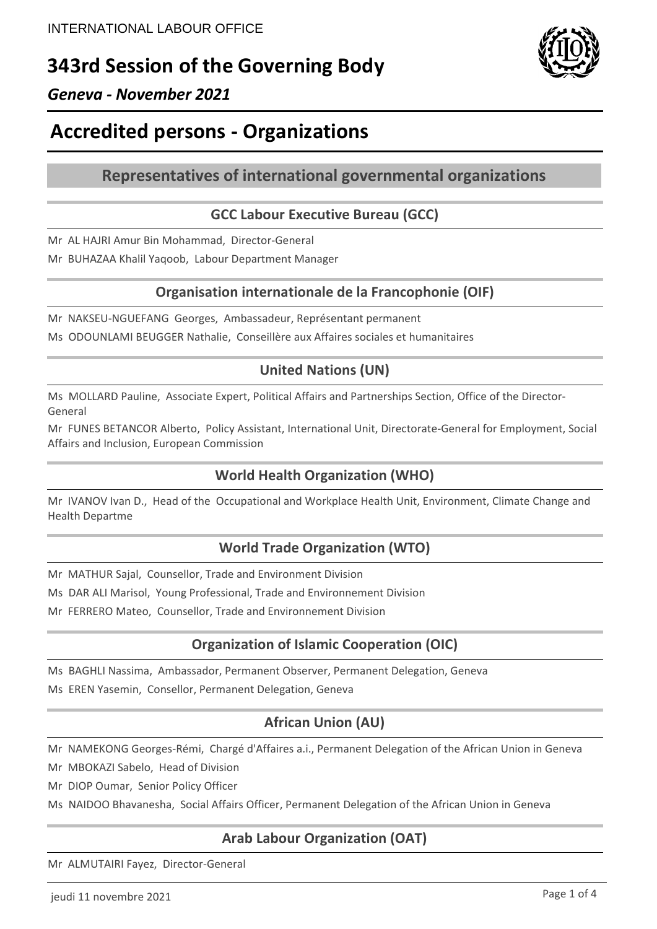# **343rd Session of the Governing Body**



# *Geneva - November 2021*

# **Accredited persons - Organizations**

# **Representatives of international governmental organizations**

# **GCC Labour Executive Bureau (GCC)**

Mr AL HAJRI Amur Bin Mohammad, Director-General

Mr BUHAZAA Khalil Yaqoob, Labour Department Manager

### **Organisation internationale de la Francophonie (OIF)**

Mr NAKSEU-NGUEFANG Georges, Ambassadeur, Représentant permanent Ms ODOUNLAMI BEUGGER Nathalie, Conseillère aux Affaires sociales et humanitaires

# **United Nations (UN)**

Ms MOLLARD Pauline, Associate Expert, Political Affairs and Partnerships Section, Office of the Director-General

Mr FUNES BETANCOR Alberto, Policy Assistant, International Unit, Directorate-General for Employment, Social Affairs and Inclusion, European Commission

# **World Health Organization (WHO)**

Mr IVANOV Ivan D., Head of the Occupational and Workplace Health Unit, Environment, Climate Change and Health Departme

# **World Trade Organization (WTO)**

Mr MATHUR Sajal, Counsellor, Trade and Environment Division

Ms DAR ALI Marisol, Young Professional, Trade and Environnement Division

Mr FERRERO Mateo, Counsellor, Trade and Environnement Division

# **Organization of Islamic Cooperation (OIC)**

Ms BAGHLI Nassima, Ambassador, Permanent Observer, Permanent Delegation, Geneva

Ms EREN Yasemin, Consellor, Permanent Delegation, Geneva

# **African Union (AU)**

Mr NAMEKONG Georges-Rémi, Chargé d'Affaires a.i., Permanent Delegation of the African Union in Geneva

Mr MBOKAZI Sabelo, Head of Division

Mr DIOP Oumar, Senior Policy Officer

Ms NAIDOO Bhavanesha, Social Affairs Officer, Permanent Delegation of the African Union in Geneva

# **Arab Labour Organization (OAT)**

Mr ALMUTAIRI Fayez, Director-General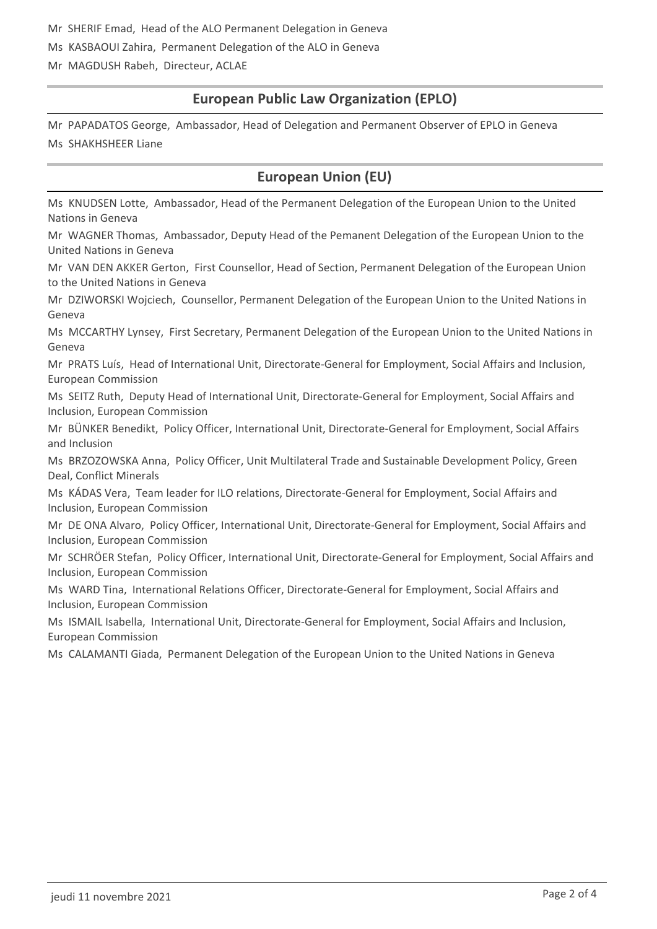Mr SHERIF Emad, Head of the ALO Permanent Delegation in Geneva

Ms KASBAOUI Zahira, Permanent Delegation of the ALO in Geneva

Mr MAGDUSH Rabeh, Directeur, ACLAE

# **European Public Law Organization (EPLO)**

Mr PAPADATOS George, Ambassador, Head of Delegation and Permanent Observer of EPLO in Geneva Ms SHAKHSHEER Liane

# **European Union (EU)**

Ms KNUDSEN Lotte, Ambassador, Head of the Permanent Delegation of the European Union to the United Nations in Geneva

Mr WAGNER Thomas, Ambassador, Deputy Head of the Pemanent Delegation of the European Union to the United Nations in Geneva

Mr VAN DEN AKKER Gerton, First Counsellor, Head of Section, Permanent Delegation of the European Union to the United Nations in Geneva

Mr DZIWORSKI Wojciech, Counsellor, Permanent Delegation of the European Union to the United Nations in Geneva

Ms MCCARTHY Lynsey, First Secretary, Permanent Delegation of the European Union to the United Nations in Geneva

Mr PRATS Luís, Head of International Unit, Directorate-General for Employment, Social Affairs and Inclusion, European Commission

Ms SEITZ Ruth, Deputy Head of International Unit, Directorate-General for Employment, Social Affairs and Inclusion, European Commission

Mr BÜNKER Benedikt, Policy Officer, International Unit, Directorate-General for Employment, Social Affairs and Inclusion

Ms BRZOZOWSKA Anna, Policy Officer, Unit Multilateral Trade and Sustainable Development Policy, Green Deal, Conflict Minerals

Ms KÁDAS Vera, Team leader for ILO relations, Directorate-General for Employment, Social Affairs and Inclusion, European Commission

Mr DE ONA Alvaro, Policy Officer, International Unit, Directorate-General for Employment, Social Affairs and Inclusion, European Commission

Mr SCHRÖER Stefan, Policy Officer, International Unit, Directorate-General for Employment, Social Affairs and Inclusion, European Commission

Ms WARD Tina, International Relations Officer, Directorate-General for Employment, Social Affairs and Inclusion, European Commission

Ms ISMAIL Isabella, International Unit, Directorate-General for Employment, Social Affairs and Inclusion, European Commission

Ms CALAMANTI Giada, Permanent Delegation of the European Union to the United Nations in Geneva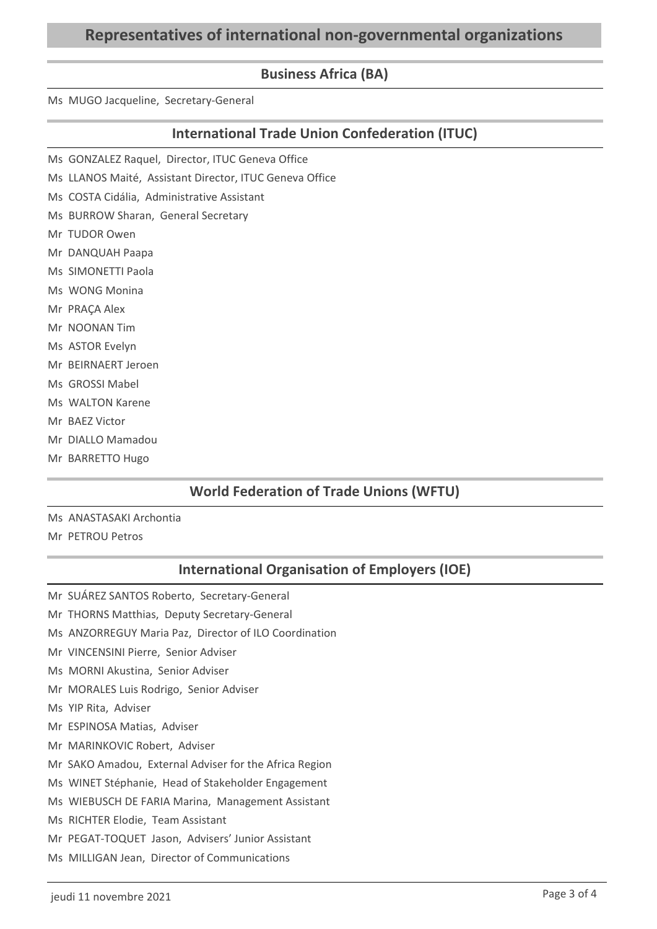# **Representatives of international non-governmental organizations**

### **Business Africa (BA)**

Ms MUGO Jacqueline, Secretary-General

### **International Trade Union Confederation (ITUC)**

- Ms GONZALEZ Raquel, Director, ITUC Geneva Office
- Ms LLANOS Maité, Assistant Director, ITUC Geneva Office
- Ms COSTA Cidália, Administrative Assistant
- Ms BURROW Sharan, General Secretary
- Mr TUDOR Owen
- Mr DANQUAH Paapa
- Ms SIMONETTI Paola
- Ms WONG Monina
- Mr PRAÇA Alex
- Mr NOONAN Tim
- Ms ASTOR Evelyn
- Mr BEIRNAERT Jeroen
- Ms GROSSI Mabel
- Ms WALTON Karene
- Mr BAEZ Victor
- Mr DIALLO Mamadou
- Mr BARRETTO Hugo

### **World Federation of Trade Unions (WFTU)**

- Ms ANASTASAKI Archontia
- Mr PETROU Petros

### **International Organisation of Employers (IOE)**

- Mr SUÁREZ SANTOS Roberto, Secretary-General
- Mr THORNS Matthias, Deputy Secretary-General
- Ms ANZORREGUY Maria Paz, Director of ILO Coordination
- Mr VINCENSINI Pierre, Senior Adviser
- Ms MORNI Akustina, Senior Adviser
- Mr MORALES Luis Rodrigo, Senior Adviser
- Ms YIP Rita, Adviser
- Mr ESPINOSA Matias, Adviser
- Mr MARINKOVIC Robert, Adviser
- Mr SAKO Amadou, External Adviser for the Africa Region
- Ms WINET Stéphanie, Head of Stakeholder Engagement
- Ms WIEBUSCH DE FARIA Marina, Management Assistant
- Ms RICHTER Elodie, Team Assistant
- Mr PEGAT-TOQUET Jason, Advisers' Junior Assistant
- Ms MILLIGAN Jean, Director of Communications